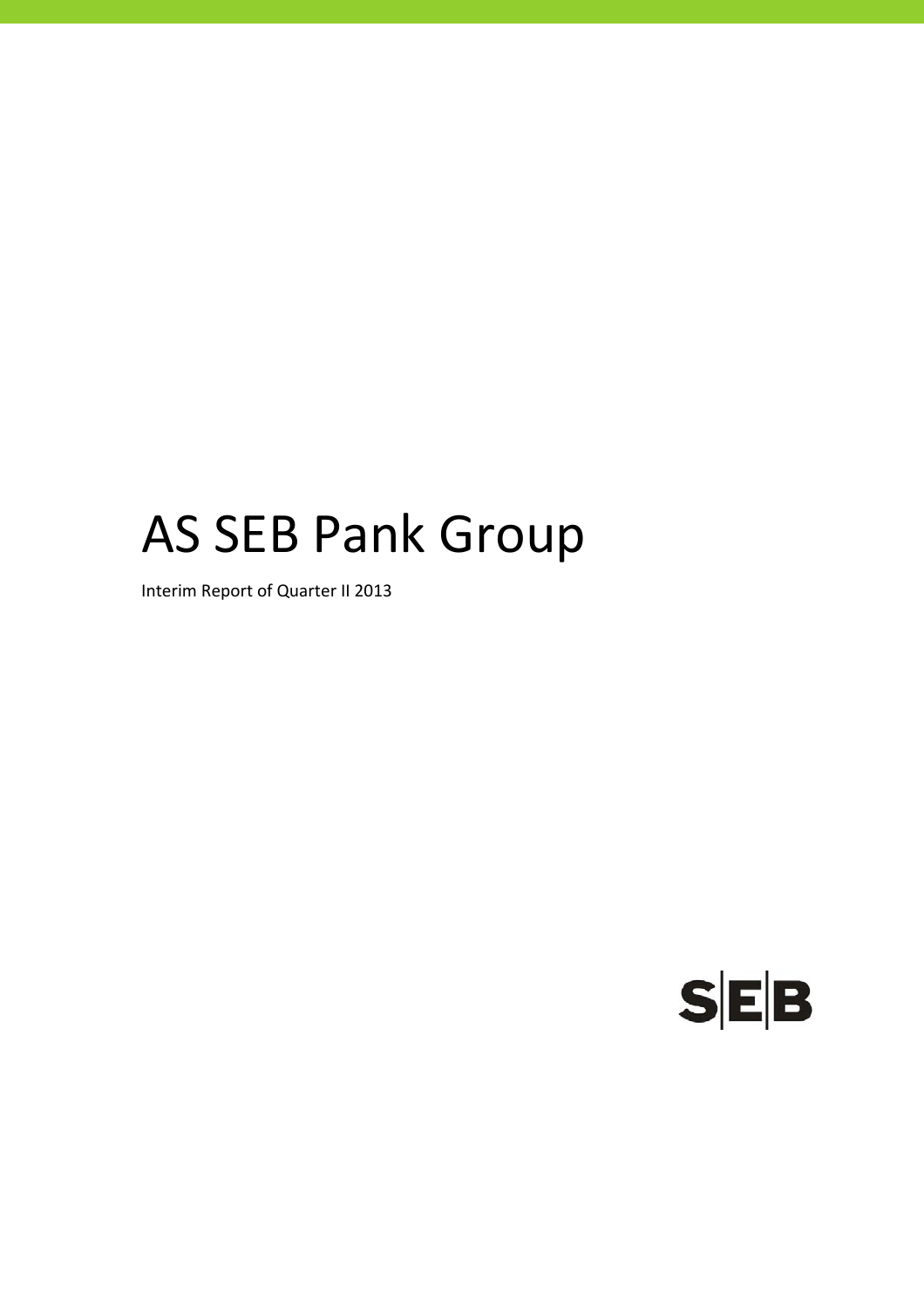# AS SEB Pank Group

Interim Report of Quarter II 2013

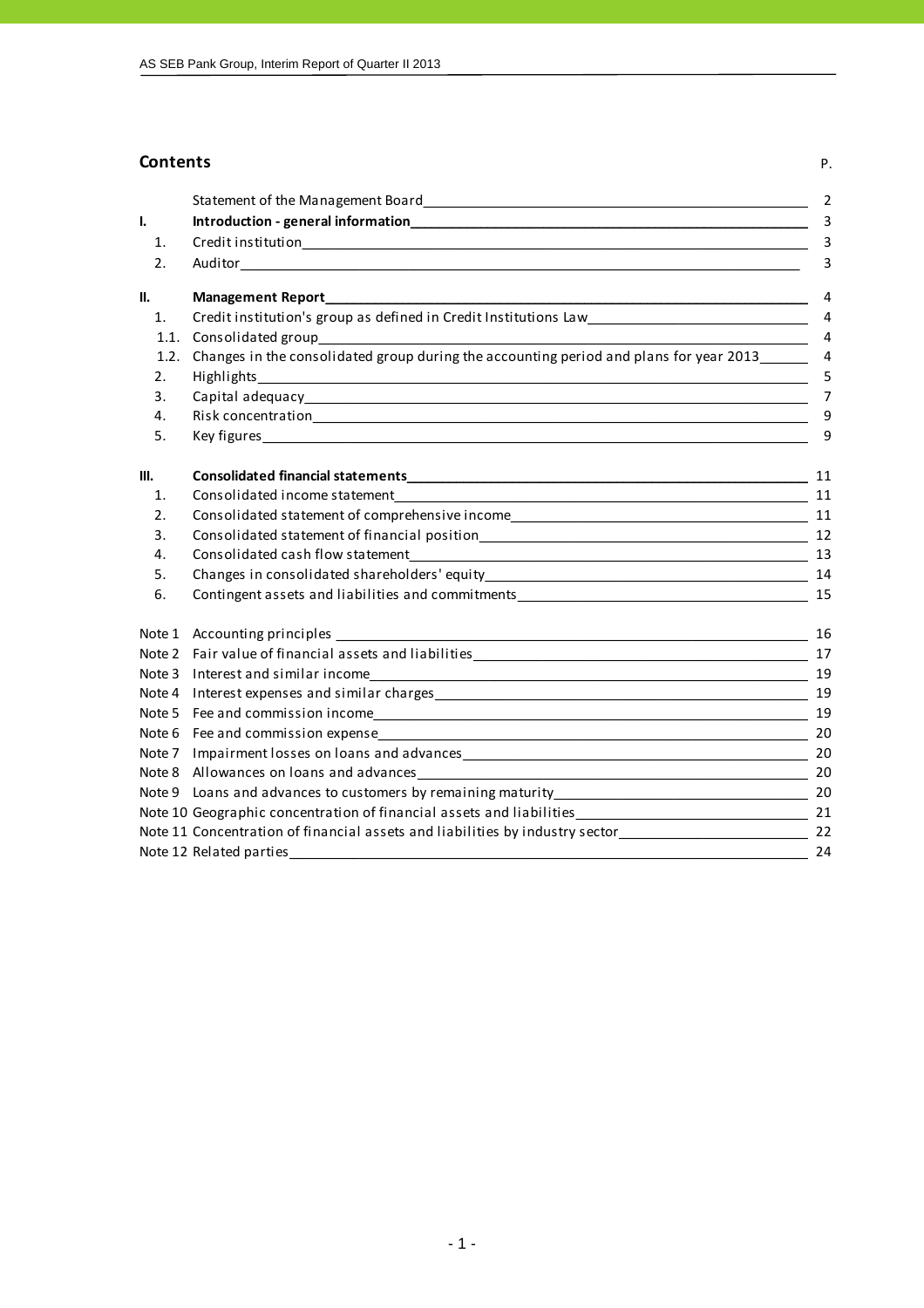## **Contents** P.

|      |                                                                                                                                                                                                                                | $\overline{2}$ |
|------|--------------------------------------------------------------------------------------------------------------------------------------------------------------------------------------------------------------------------------|----------------|
| I.   |                                                                                                                                                                                                                                | 3              |
| 1.   |                                                                                                                                                                                                                                | 3              |
| 2.   |                                                                                                                                                                                                                                | 3              |
| II.  | Management Report_                                                                                                                                                                                                             | 4              |
| 1.   | Credit institution's group as defined in Credit Institutions Law___________________________________                                                                                                                            | $\overline{4}$ |
| 1.1. |                                                                                                                                                                                                                                | 4              |
| 1.2. | Changes in the consolidated group during the accounting period and plans for year 2013                                                                                                                                         | $\overline{4}$ |
| 2.   | Highlights                                                                                                                                                                                                                     | 5              |
| 3.   |                                                                                                                                                                                                                                | $\overline{7}$ |
| 4.   |                                                                                                                                                                                                                                | 9              |
| 5.   |                                                                                                                                                                                                                                | 9              |
| III. |                                                                                                                                                                                                                                | 11             |
| 1.   | Consolidated income statement                                                                                                                                                                                                  |                |
| 2.   |                                                                                                                                                                                                                                |                |
| 3.   | Consolidated statement of financial position entries and the consolidated statement of financial position                                                                                                                      |                |
| 4.   |                                                                                                                                                                                                                                | 13             |
| 5.   |                                                                                                                                                                                                                                |                |
| 6.   | Contingent assets and liabilities and commitments example and continue to the control of the control of the control of the control of the control of the control of the control of the control of the control of the control o | 15             |
|      |                                                                                                                                                                                                                                |                |
|      |                                                                                                                                                                                                                                |                |
|      |                                                                                                                                                                                                                                | 19             |
|      |                                                                                                                                                                                                                                | 19             |
|      |                                                                                                                                                                                                                                | 19             |
|      |                                                                                                                                                                                                                                |                |
|      |                                                                                                                                                                                                                                |                |
|      |                                                                                                                                                                                                                                |                |
|      |                                                                                                                                                                                                                                |                |
|      | Note 10 Geographic concentration of financial assets and liabilities_________________________________ 21                                                                                                                       |                |
|      | Note 11 Concentration of financial assets and liabilities by industry sector<br>22                                                                                                                                             |                |
|      |                                                                                                                                                                                                                                | 24             |
|      |                                                                                                                                                                                                                                |                |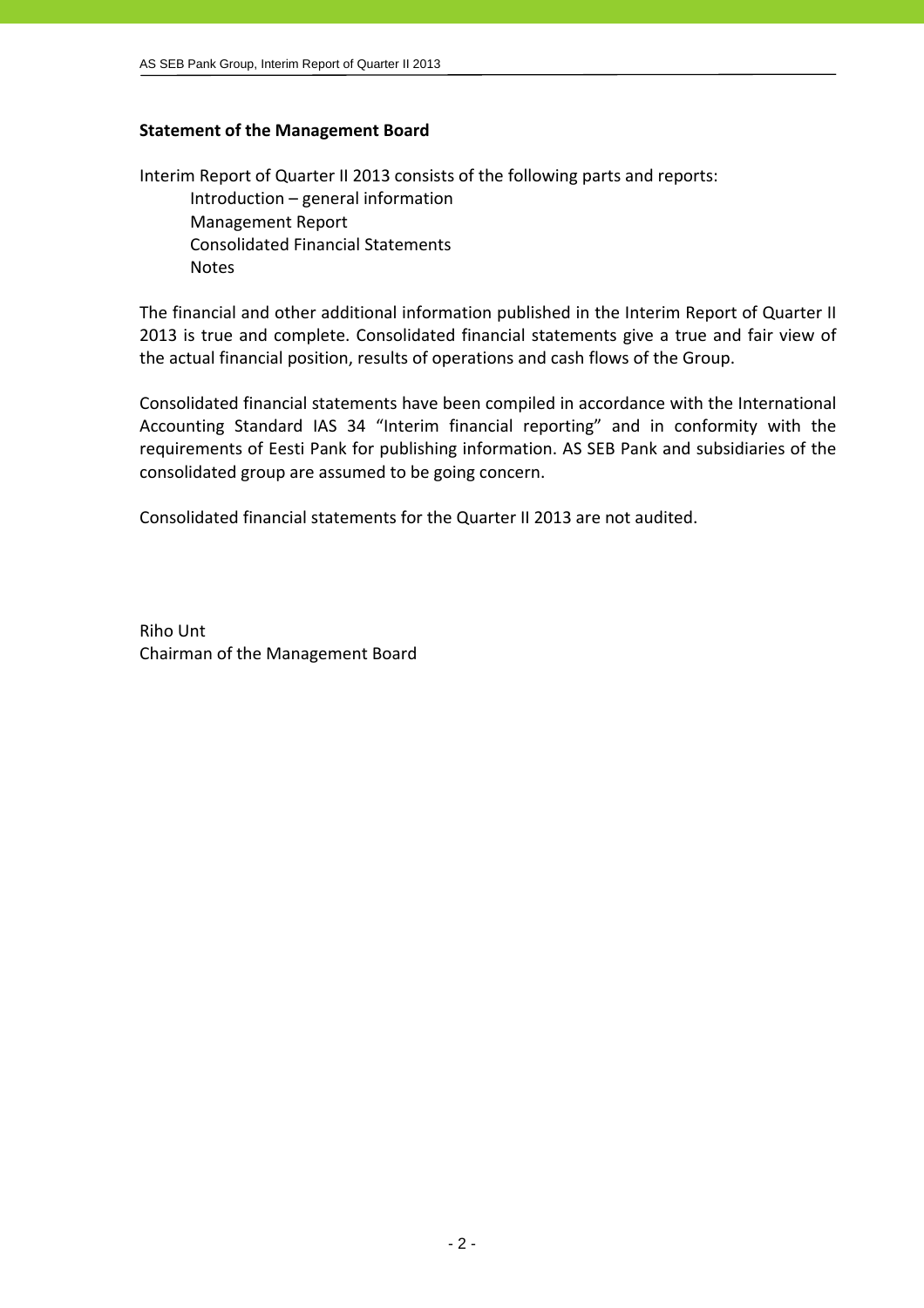## **Statement of the Management Board**

Interim Report of Quarter II 2013 consists of the following parts and reports: Introduction – general information Management Report Consolidated Financial Statements Notes

The financial and other additional information published in the Interim Report of Quarter II 2013 is true and complete. Consolidated financial statements give a true and fair view of the actual financial position, results of operations and cash flows of the Group.

Consolidated financial statements have been compiled in accordance with the International Accounting Standard IAS 34 "Interim financial reporting" and in conformity with the requirements of Eesti Pank for publishing information. AS SEB Pank and subsidiaries of the consolidated group are assumed to be going concern.

Consolidated financial statements for the Quarter II 2013 are not audited.

Riho Unt Chairman of the Management Board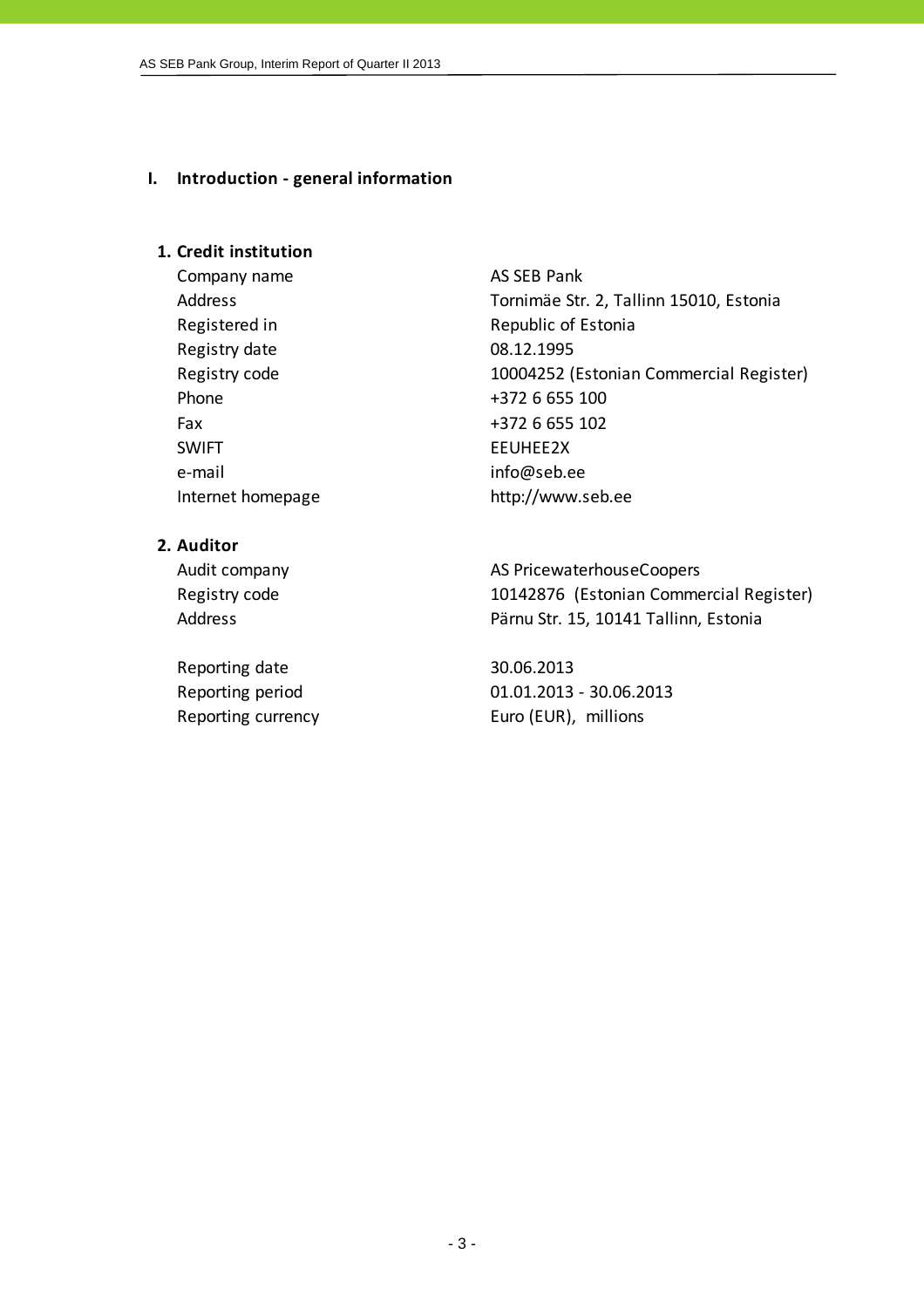#### **I. Introduction ‐ general information**

## **1. Credit institution**

Company name AS SEB Pank Registered in Republic of Estonia Registry date 08.12.1995 Phone  $+372$  6 655 100 Fax +372 6 655 102 SWIFT EEUHEE2X e-mail info@seb.ee

Address Tornimäe Str. 2, Tallinn 15010, Estonia Registry code 10004252 (Estonian Commercial Register) Internet homepage http://www.seb.ee

## **2. Auditor**

Reporting date 30.06.2013

Audit company and all the AS PricewaterhouseCoopers Registry code 10142876 (Estonian Commercial Register) Address **Pärnu Str. 15, 10141 Tallinn, Estonia** 

Reporting period 01.01.2013 ‐ 30.06.2013 Reporting currency Euro (EUR), millions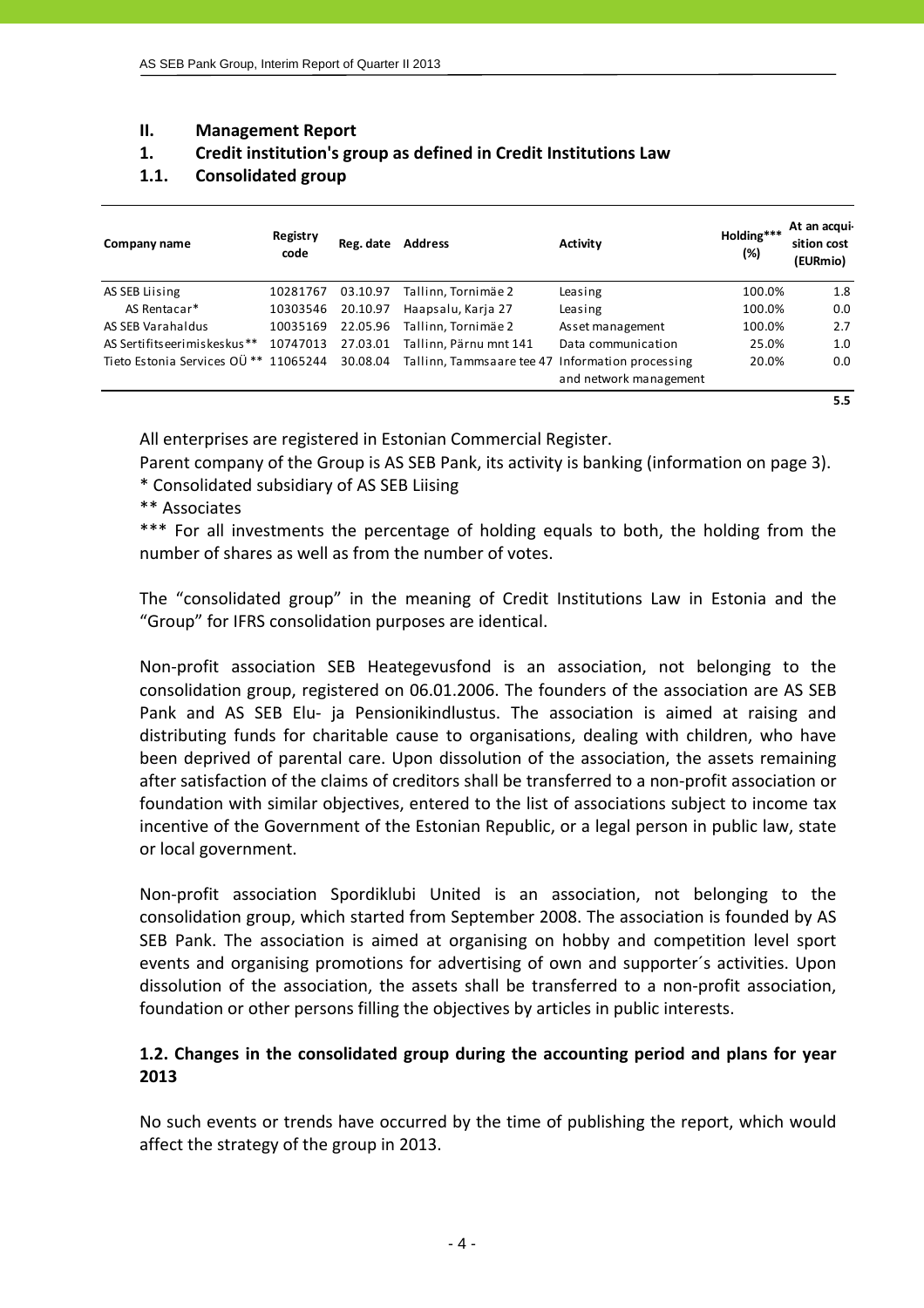## **II. Management Report**

## **1. Credit institution's group as defined in Credit Institutions Law**

## **1.1. Consolidated group**

| Company name                              | Registry<br>code | Reg. date | <b>Address</b>                                   | <b>Activity</b>        | Holding***<br>(%) | At an acqui-<br>sition cost<br>(EURmio) |
|-------------------------------------------|------------------|-----------|--------------------------------------------------|------------------------|-------------------|-----------------------------------------|
| AS SEB Liising                            | 10281767         | 03.10.97  | Tallinn, Tornimäe 2                              | Leasing                | 100.0%            | 1.8                                     |
| AS Rentacar*                              | 10303546         | 20.10.97  | Haapsalu, Karja 27                               | Leasing                | 100.0%            | 0.0                                     |
| AS SEB Varahaldus                         | 10035169         | 22.05.96  | Tallinn, Tornimäe 2                              | Asset management       | 100.0%            | 2.7                                     |
| AS Sertifits eerimiskes kus <sup>**</sup> | 10747013         | 27.03.01  | Tallinn, Pärnu mnt 141                           | Data communication     | 25.0%             | 1.0                                     |
| Tieto Estonia Services OÜ ** 11065244     |                  | 30.08.04  | Tallinn, Tammsaare tee 47 Information processing |                        | 20.0%             | 0.0                                     |
|                                           |                  |           |                                                  | and network management |                   |                                         |
|                                           |                  |           |                                                  |                        |                   | 5.5                                     |

All enterprises are registered in Estonian Commercial Register.

Parent company of the Group is AS SEB Pank, its activity is banking (information on page 3).

\* Consolidated subsidiary of AS SEB Liising

\*\* Associates

\*\*\* For all investments the percentage of holding equals to both, the holding from the number of shares as well as from the number of votes.

The "consolidated group" in the meaning of Credit Institutions Law in Estonia and the "Group" for IFRS consolidation purposes are identical.

Non‐profit association SEB Heategevusfond is an association, not belonging to the consolidation group, registered on 06.01.2006. The founders of the association are AS SEB Pank and AS SEB Elu- ja Pensionikindlustus. The association is aimed at raising and distributing funds for charitable cause to organisations, dealing with children, who have been deprived of parental care. Upon dissolution of the association, the assets remaining after satisfaction of the claims of creditors shall be transferred to a non‐profit association or foundation with similar objectives, entered to the list of associations subject to income tax incentive of the Government of the Estonian Republic, or a legal person in public law, state or local government.

Non‐profit association Spordiklubi United is an association, not belonging to the consolidation group, which started from September 2008. The association is founded by AS SEB Pank. The association is aimed at organising on hobby and competition level sport events and organising promotions for advertising of own and supporter´s activities. Upon dissolution of the association, the assets shall be transferred to a non‐profit association, foundation or other persons filling the objectives by articles in public interests.

## **1.2. Changes in the consolidated group during the accounting period and plans for year 2013**

No such events or trends have occurred by the time of publishing the report, which would affect the strategy of the group in 2013.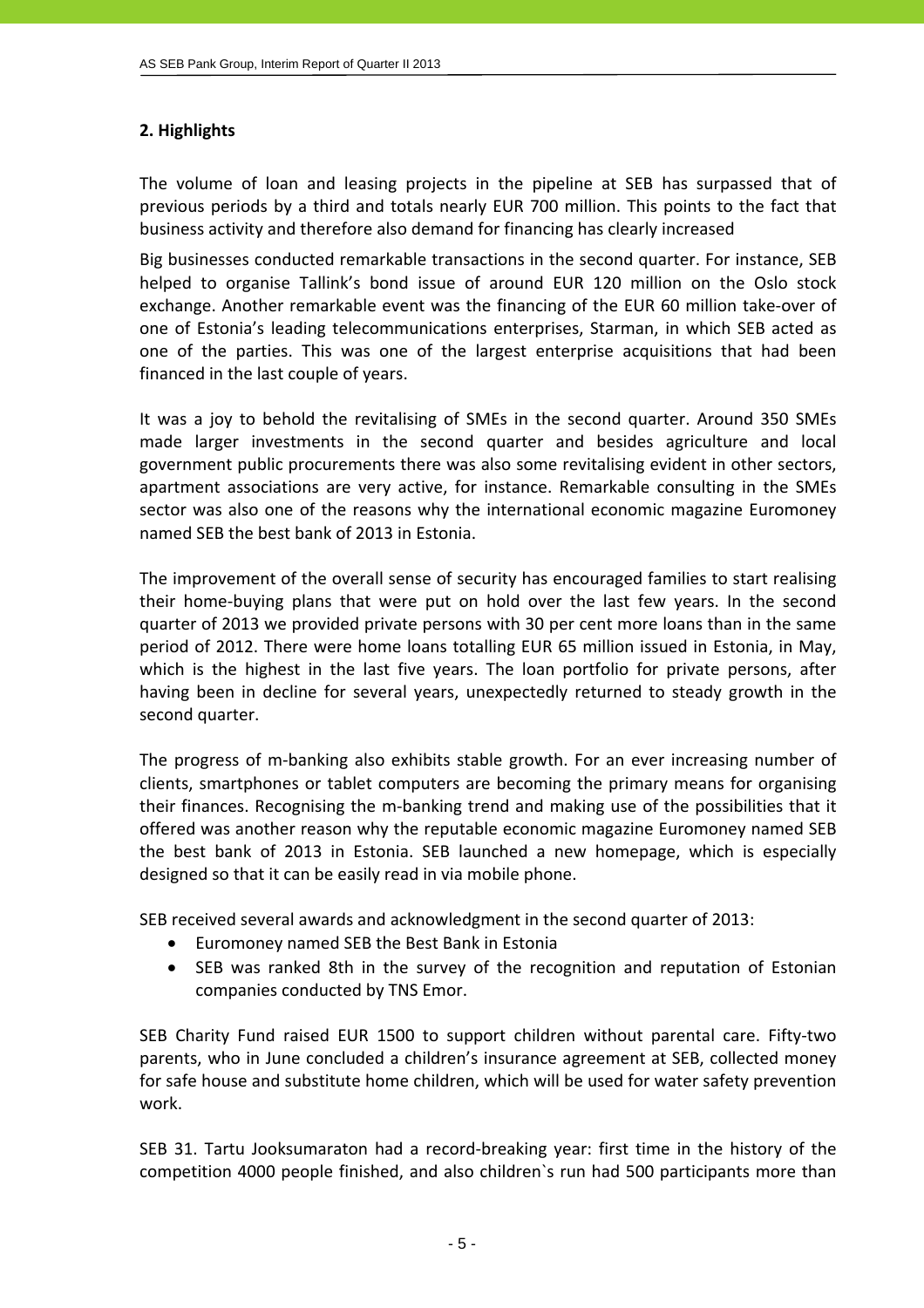## **2. Highlights**

The volume of loan and leasing projects in the pipeline at SEB has surpassed that of previous periods by a third and totals nearly EUR 700 million. This points to the fact that business activity and therefore also demand for financing has clearly increased

Big businesses conducted remarkable transactions in the second quarter. For instance, SEB helped to organise Tallink's bond issue of around EUR 120 million on the Oslo stock exchange. Another remarkable event was the financing of the EUR 60 million take-over of one of Estonia's leading telecommunications enterprises, Starman, in which SEB acted as one of the parties. This was one of the largest enterprise acquisitions that had been financed in the last couple of years.

It was a joy to behold the revitalising of SMEs in the second quarter. Around 350 SMEs made larger investments in the second quarter and besides agriculture and local government public procurements there was also some revitalising evident in other sectors, apartment associations are very active, for instance. Remarkable consulting in the SMEs sector was also one of the reasons why the international economic magazine Euromoney named SEB the best bank of 2013 in Estonia.

The improvement of the overall sense of security has encouraged families to start realising their home‐buying plans that were put on hold over the last few years. In the second quarter of 2013 we provided private persons with 30 per cent more loans than in the same period of 2012. There were home loans totalling EUR 65 million issued in Estonia, in May, which is the highest in the last five years. The loan portfolio for private persons, after having been in decline for several years, unexpectedly returned to steady growth in the second quarter.

The progress of m-banking also exhibits stable growth. For an ever increasing number of clients, smartphones or tablet computers are becoming the primary means for organising their finances. Recognising the m‐banking trend and making use of the possibilities that it offered was another reason why the reputable economic magazine Euromoney named SEB the best bank of 2013 in Estonia. SEB launched a new homepage, which is especially designed so that it can be easily read in via mobile phone.

SEB received several awards and acknowledgment in the second quarter of 2013:

- Euromoney named SEB the Best Bank in Estonia
- SEB was ranked 8th in the survey of the recognition and reputation of Estonian companies conducted by TNS Emor.

SEB Charity Fund raised EUR 1500 to support children without parental care. Fifty‐two parents, who in June concluded a children's insurance agreement at SEB, collected money for safe house and substitute home children, which will be used for water safety prevention work.

SEB 31. Tartu Jooksumaraton had a record‐breaking year: first time in the history of the competition 4000 people finished, and also children`s run had 500 participants more than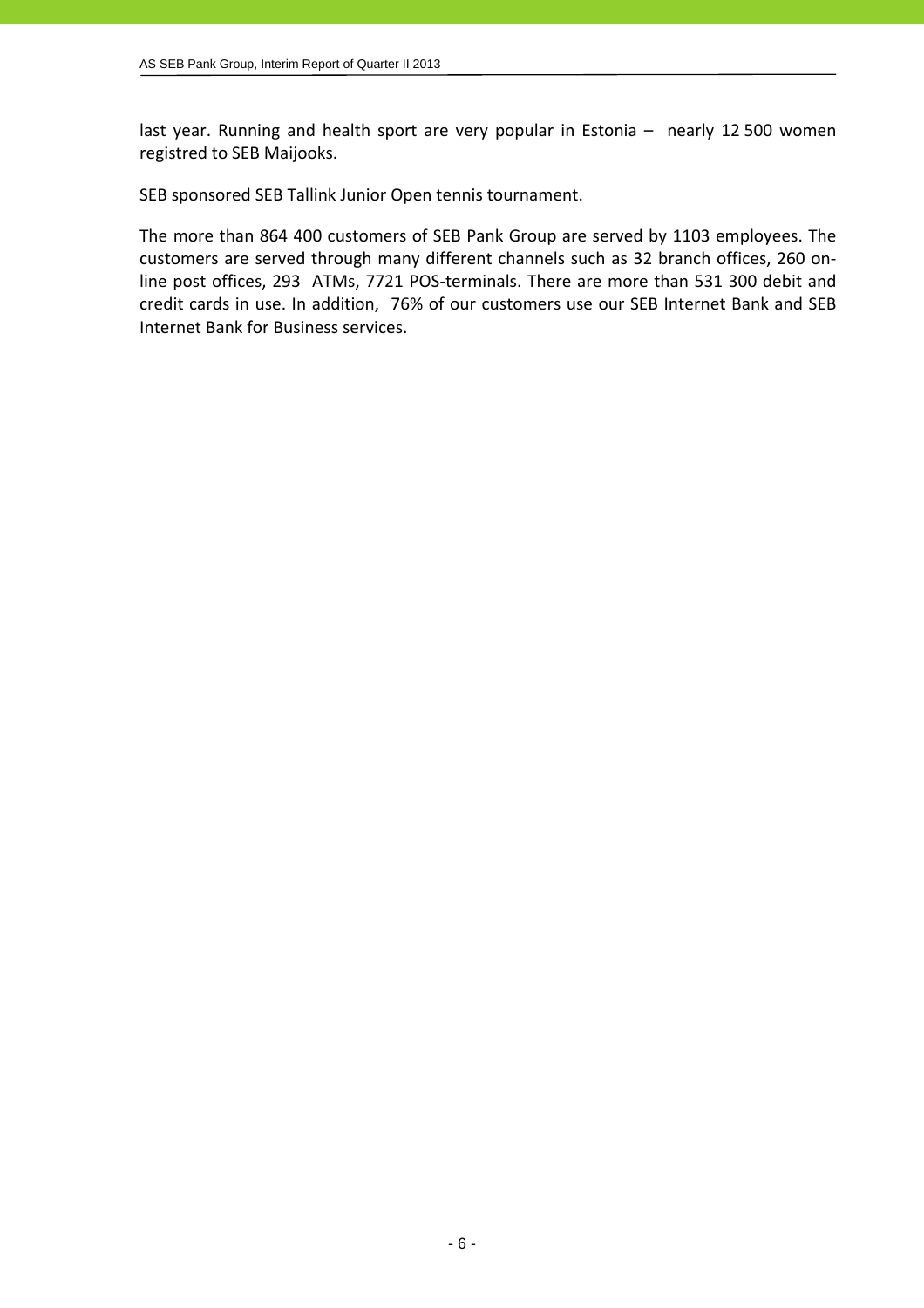last year. Running and health sport are very popular in Estonia - nearly 12 500 women registred to SEB Maijooks.

SEB sponsored SEB Tallink Junior Open tennis tournament.

The more than 864 400 customers of SEB Pank Group are served by 1103 employees. The customers are served through many different channels such as 32 branch offices, 260 on‐ line post offices, 293 ATMs, 7721 POS-terminals. There are more than 531 300 debit and credit cards in use. In addition, 76% of our customers use our SEB Internet Bank and SEB Internet Bank for Business services.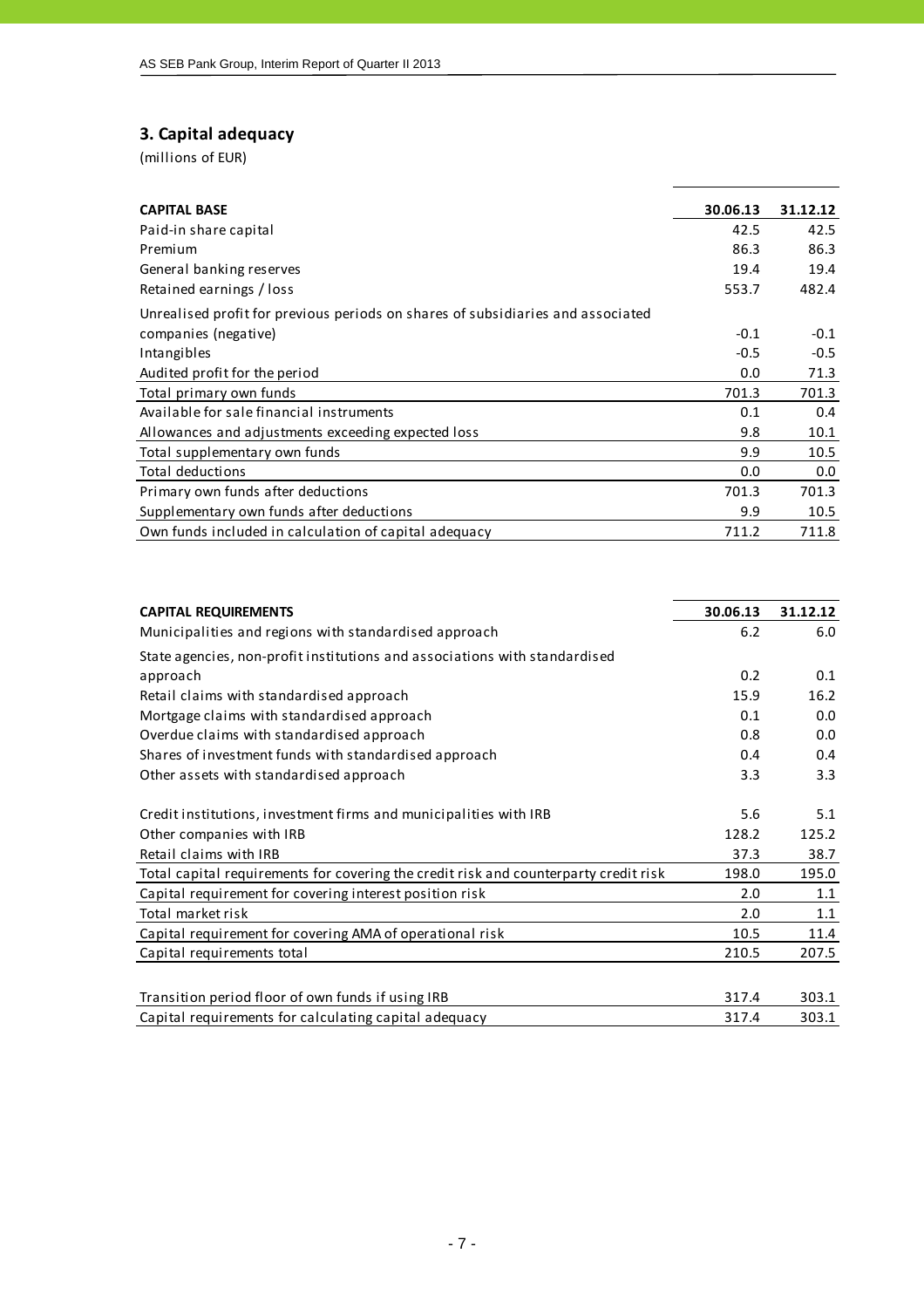## **3. Capital adequacy**

| <b>CAPITAL BASE</b>                                                             | 30.06.13 | 31.12.12 |
|---------------------------------------------------------------------------------|----------|----------|
| Paid-in share capital                                                           | 42.5     | 42.5     |
| Premium                                                                         | 86.3     | 86.3     |
| General banking reserves                                                        | 19.4     | 19.4     |
| Retained earnings / loss                                                        | 553.7    | 482.4    |
| Unrealised profit for previous periods on shares of subsidiaries and associated |          |          |
| companies (negative)                                                            | $-0.1$   | $-0.1$   |
| Intangibles                                                                     | $-0.5$   | $-0.5$   |
| Audited profit for the period                                                   | 0.0      | 71.3     |
| Total primary own funds                                                         | 701.3    | 701.3    |
| Available for sale financial instruments                                        | 0.1      | 0.4      |
| Allowances and adjustments exceeding expected loss                              | 9.8      | 10.1     |
| Total supplementary own funds                                                   | 9.9      | 10.5     |
| <b>Total deductions</b>                                                         | 0.0      | 0.0      |
| Primary own funds after deductions                                              | 701.3    | 701.3    |
| Supplementary own funds after deductions                                        | 9.9      | 10.5     |
| Own funds included in calculation of capital adequacy                           | 711.2    | 711.8    |

| <b>CAPITAL REQUIREMENTS</b>                                                          | 30.06.13 | 31.12.12 |
|--------------------------------------------------------------------------------------|----------|----------|
| Municipalities and regions with standardised approach                                | 6.2      | 6.0      |
| State agencies, non-profit institutions and associations with standardised           |          |          |
| approach                                                                             | 0.2      | 0.1      |
| Retail claims with standardised approach                                             | 15.9     | 16.2     |
| Mortgage claims with standardised approach                                           | 0.1      | 0.0      |
| Overdue claims with standardised approach                                            | 0.8      | 0.0      |
| Shares of investment funds with standardised approach                                | 0.4      | 0.4      |
| Other assets with standardised approach                                              | 3.3      | 3.3      |
|                                                                                      | 5.6      | 5.1      |
| Credit institutions, investment firms and municipalities with IRB                    |          |          |
| Other companies with IRB                                                             | 128.2    | 125.2    |
| Retail claims with IRB                                                               | 37.3     | 38.7     |
| Total capital requirements for covering the credit risk and counterparty credit risk | 198.0    | 195.0    |
| Capital requirement for covering interest position risk                              | 2.0      | 1.1      |
| Total market risk                                                                    | 2.0      | 1.1      |
| Capital requirement for covering AMA of operational risk                             | 10.5     | 11.4     |
| Capital requirements total                                                           | 210.5    | 207.5    |
|                                                                                      |          |          |
| Transition period floor of own funds if using IRB                                    | 317.4    | 303.1    |
| Capital requirements for calculating capital adequacy                                | 317.4    | 303.1    |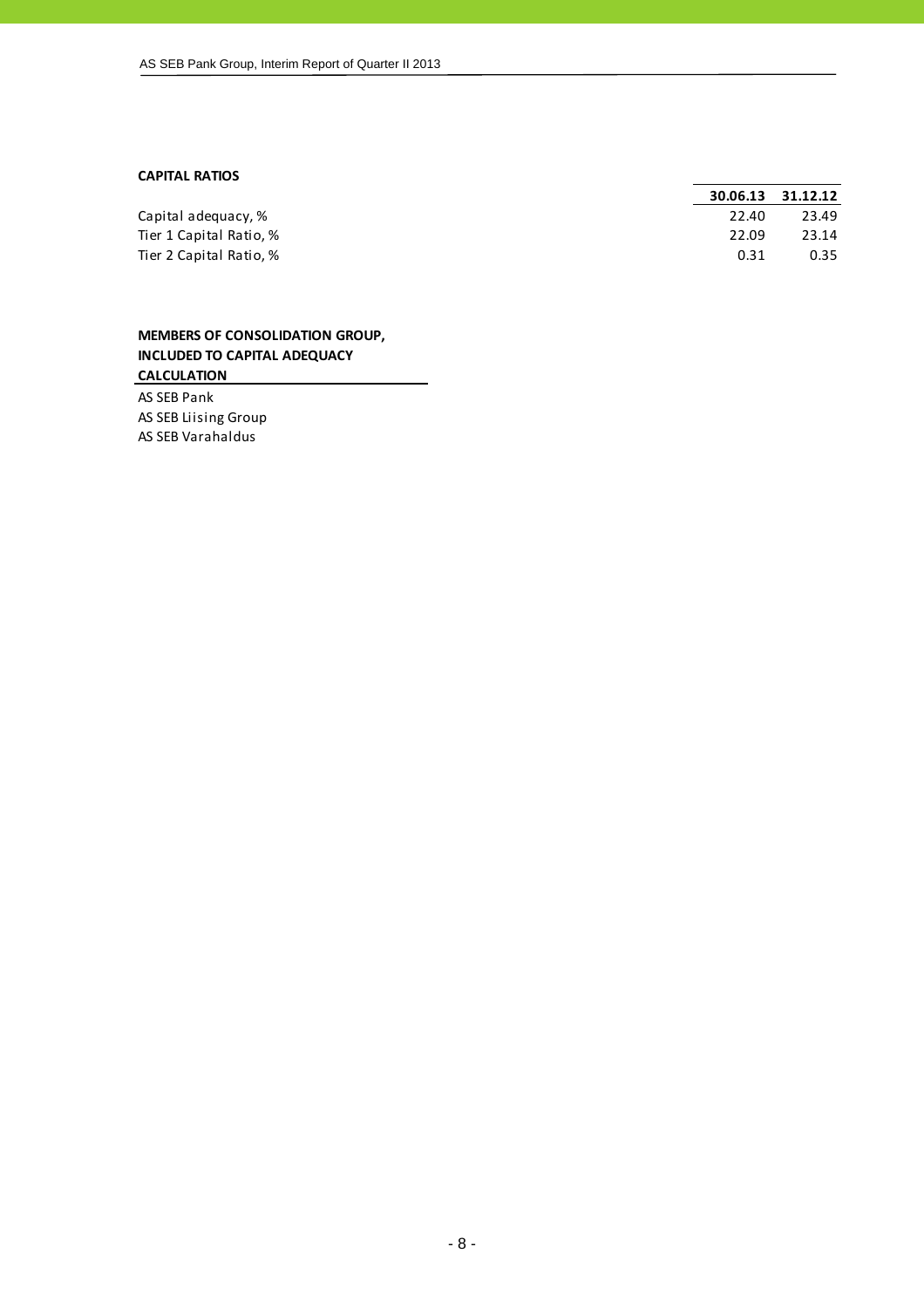#### **CAPITAL RATIOS**

|                         | 30.06.13 | 31.12.12 |
|-------------------------|----------|----------|
| Capital adequacy, %     | 22.40    | 23.49    |
| Tier 1 Capital Ratio, % | 22.09    | 23.14    |
| Tier 2 Capital Ratio, % | 0.31     | 0.35     |
|                         |          |          |

## **MEMBERS OF CONSOLIDATION GROUP, INCLUDED TO CAPITAL ADEQUACY CALCULATION**

AS SEB Pank AS SEB Liising Group AS SEB Varahaldus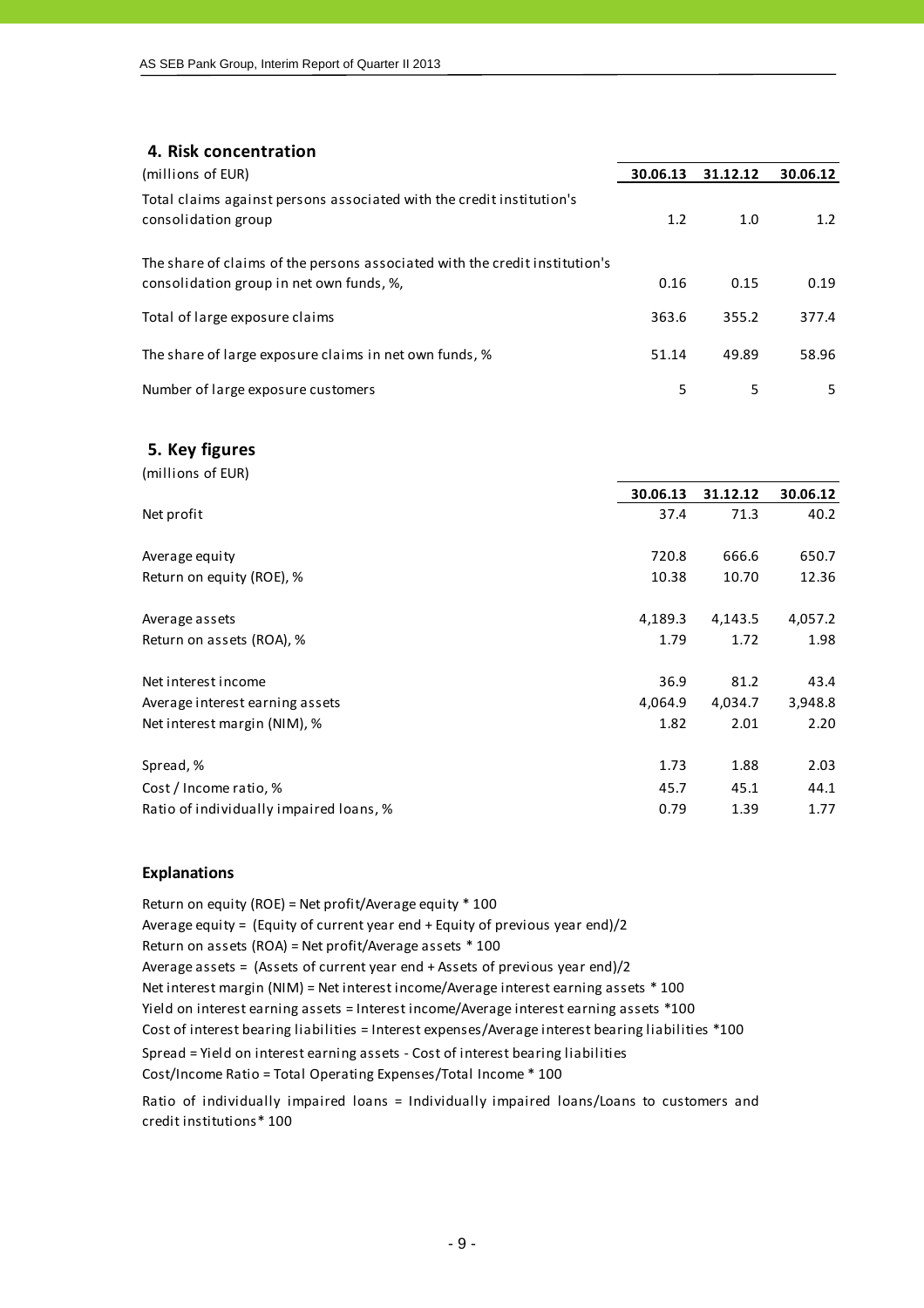## **4. Risk concentration**

| (millions of EUR)                                                                                                       | 30.06.13 | 31.12.12 | 30.06.12 |
|-------------------------------------------------------------------------------------------------------------------------|----------|----------|----------|
| Total claims against persons associated with the credit institution's<br>consolidation group                            | 1.2      | 1.0      | 1.2      |
| The share of claims of the persons associated with the credit institution's<br>consolidation group in net own funds, %, | 0.16     | 0.15     | 0.19     |
| Total of large exposure claims                                                                                          | 363.6    | 355.2    | 377.4    |
| The share of large exposure claims in net own funds, %                                                                  | 51.14    | 49.89    | 58.96    |
| Number of large exposure customers                                                                                      | 5        | 5        | 5.       |

#### **5. Key figures**

| (millions of EUR)                       |          |          |          |
|-----------------------------------------|----------|----------|----------|
|                                         | 30.06.13 | 31.12.12 | 30.06.12 |
| Net profit                              | 37.4     | 71.3     | 40.2     |
| Average equity                          | 720.8    | 666.6    | 650.7    |
| Return on equity (ROE), %               | 10.38    | 10.70    | 12.36    |
| Average assets                          | 4,189.3  | 4,143.5  | 4,057.2  |
| Return on assets (ROA), %               | 1.79     | 1.72     | 1.98     |
| Net interest income                     | 36.9     | 81.2     | 43.4     |
| Average interest earning assets         | 4,064.9  | 4,034.7  | 3,948.8  |
| Net interest margin (NIM), %            | 1.82     | 2.01     | 2.20     |
| Spread, %                               | 1.73     | 1.88     | 2.03     |
| Cost / Income ratio, %                  | 45.7     | 45.1     | 44.1     |
| Ratio of individually impaired loans, % | 0.79     | 1.39     | 1.77     |
|                                         |          |          |          |

#### **Explanations**

Return on equity (ROE) = Net profit/Average equity \* 100 Average equity = (Equity of current year end + Equity of previous year end)/2 Return on assets (ROA) = Net profit/Average assets \* 100 Average assets = (Assets of current year end + Assets of previous year end)/2 Cost of interest bearing liabilities = Interest expenses/Average interest bearing liabilities \*100 Cost/Income Ratio = Total Operating Expenses/Total Income \* 100 Spread = Yield on interest earning assets ‐ Cost of interest bearing liabilities Net interest margin (NIM) = Net interest income/Average interest earning assets \* 100 Yield on interest earning assets = Interest income/Average interest earning assets \*100

Ratio of individually impaired loans = Individually impaired loans/Loans to customers and credit institutions\* 100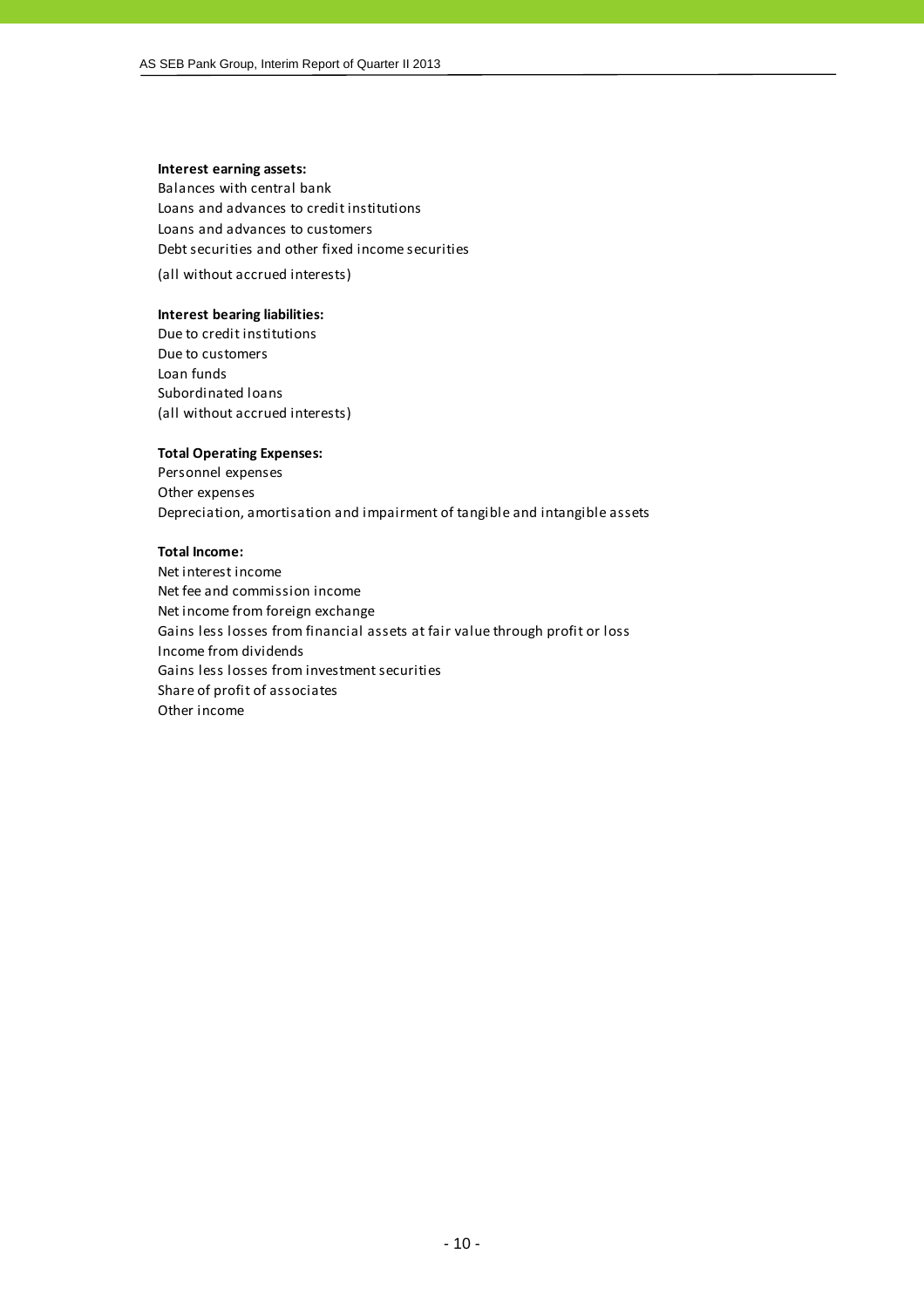#### **Interest earning assets:**

Balances with central bank Loans and advances to credit institutions Loans and advances to customers Debt securities and other fixed income securities

(all without accrued interests)

#### **Interest bearing liabilities:**

Due to credit institutions Due to customers Loan funds Subordinated loans (all without accrued interests)

#### **Total Operating Expenses:**

Personnel expenses Other expenses Depreciation, amortisation and impairment of tangible and intangible assets

#### **Total Income:**

Net interest income Net fee and commission income Net income from foreign exchange Gains less losses from financial assets at fair value through profit or loss Income from dividends Gains less losses from investment securities Share of profit of associates Other income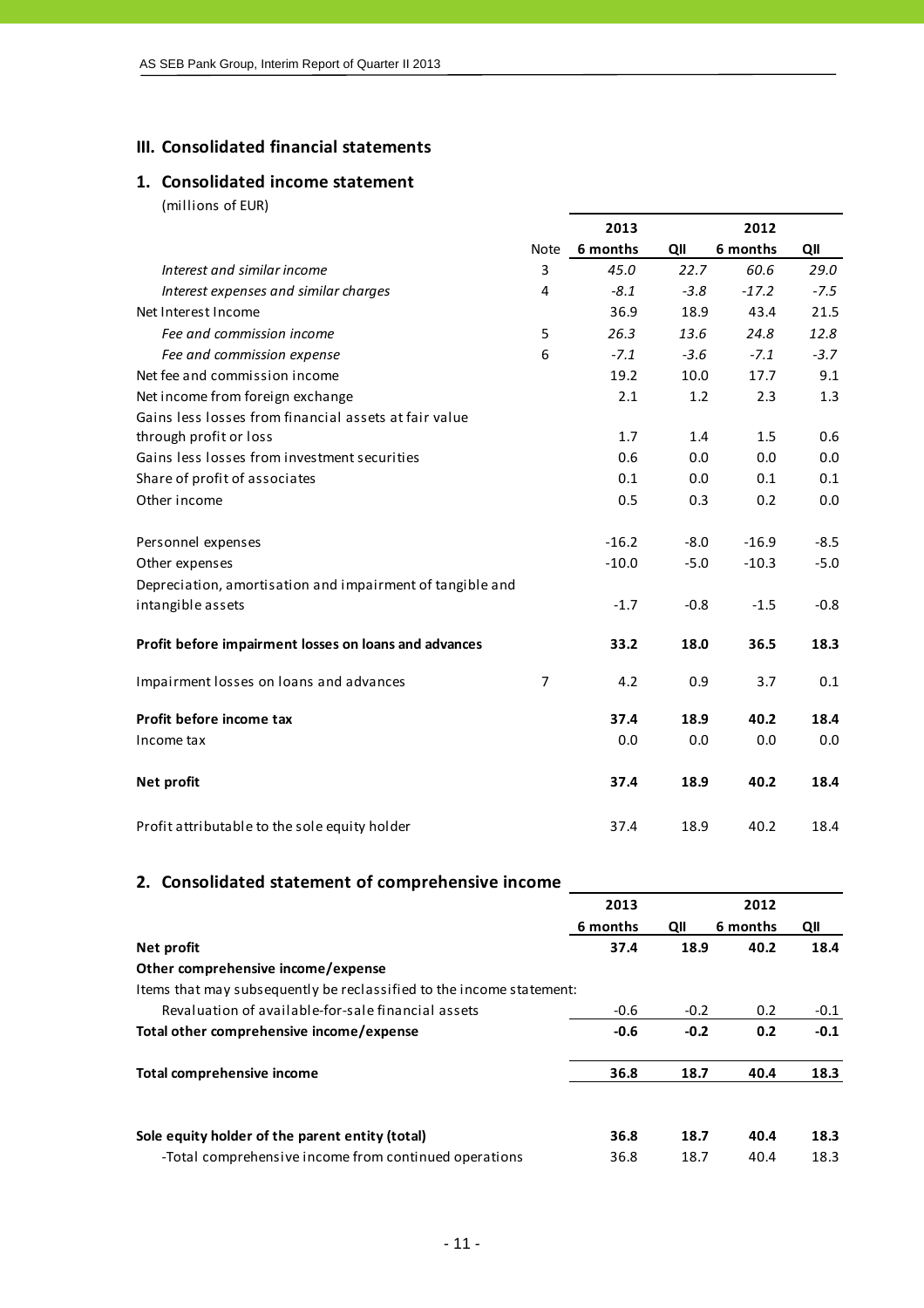## **III. Consolidated financial statements**

## **1. Consolidated income statement**

(millions of EUR)

|                                                           |                | 2013     |        | 2012     |        |
|-----------------------------------------------------------|----------------|----------|--------|----------|--------|
|                                                           | Note           | 6 months | QII    | 6 months | QII    |
| Interest and similar income                               | 3              | 45.0     | 22.7   | 60.6     | 29.0   |
| Interest expenses and similar charges                     | 4              | $-8.1$   | $-3.8$ | $-17.2$  | $-7.5$ |
| Net Interest Income                                       |                | 36.9     | 18.9   | 43.4     | 21.5   |
| Fee and commission income                                 | 5              | 26.3     | 13.6   | 24.8     | 12.8   |
| Fee and commission expense                                | 6              | $-7.1$   | $-3.6$ | $-7.1$   | $-3.7$ |
| Net fee and commission income                             |                | 19.2     | 10.0   | 17.7     | 9.1    |
| Net income from foreign exchange                          |                | 2.1      | 1.2    | 2.3      | 1.3    |
| Gains less losses from financial assets at fair value     |                |          |        |          |        |
| through profit or loss                                    |                | 1.7      | 1.4    | 1.5      | 0.6    |
| Gains less losses from investment securities              |                | 0.6      | 0.0    | 0.0      | 0.0    |
| Share of profit of associates                             |                | 0.1      | 0.0    | 0.1      | 0.1    |
| Other income                                              |                | 0.5      | 0.3    | 0.2      | 0.0    |
| Personnel expenses                                        |                | $-16.2$  | $-8.0$ | $-16.9$  | $-8.5$ |
| Other expenses                                            |                | $-10.0$  | $-5.0$ | $-10.3$  | $-5.0$ |
| Depreciation, amortisation and impairment of tangible and |                |          |        |          |        |
| intangible assets                                         |                | $-1.7$   | $-0.8$ | $-1.5$   | $-0.8$ |
| Profit before impairment losses on loans and advances     |                | 33.2     | 18.0   | 36.5     | 18.3   |
| Impairment losses on loans and advances                   | $\overline{7}$ | 4.2      | 0.9    | 3.7      | 0.1    |
| Profit before income tax                                  |                | 37.4     | 18.9   | 40.2     | 18.4   |
| Income tax                                                |                | 0.0      | 0.0    | 0.0      | 0.0    |
| Net profit                                                |                | 37.4     | 18.9   | 40.2     | 18.4   |
| Profit attributable to the sole equity holder             |                | 37.4     | 18.9   | 40.2     | 18.4   |

## **2. Consolidated statement of comprehensive income**

|                                                                      | 2013     |        | 2012     |        |  |
|----------------------------------------------------------------------|----------|--------|----------|--------|--|
|                                                                      | 6 months | QII    | 6 months | QII    |  |
| Net profit                                                           | 37.4     | 18.9   | 40.2     | 18.4   |  |
| Other comprehensive income/expense                                   |          |        |          |        |  |
| Items that may subsequently be reclassified to the income statement: |          |        |          |        |  |
| Revaluation of available-for-sale financial assets                   | $-0.6$   | $-0.2$ | 0.2      | $-0.1$ |  |
| Total other comprehensive income/expense                             | $-0.6$   | $-0.2$ | 0.2      | $-0.1$ |  |
| Total comprehensive income                                           | 36.8     | 18.7   | 40.4     | 18.3   |  |
| Sole equity holder of the parent entity (total)                      | 36.8     | 18.7   | 40.4     | 18.3   |  |
| -Total comprehensive income from continued operations                | 36.8     | 18.7   | 40.4     | 18.3   |  |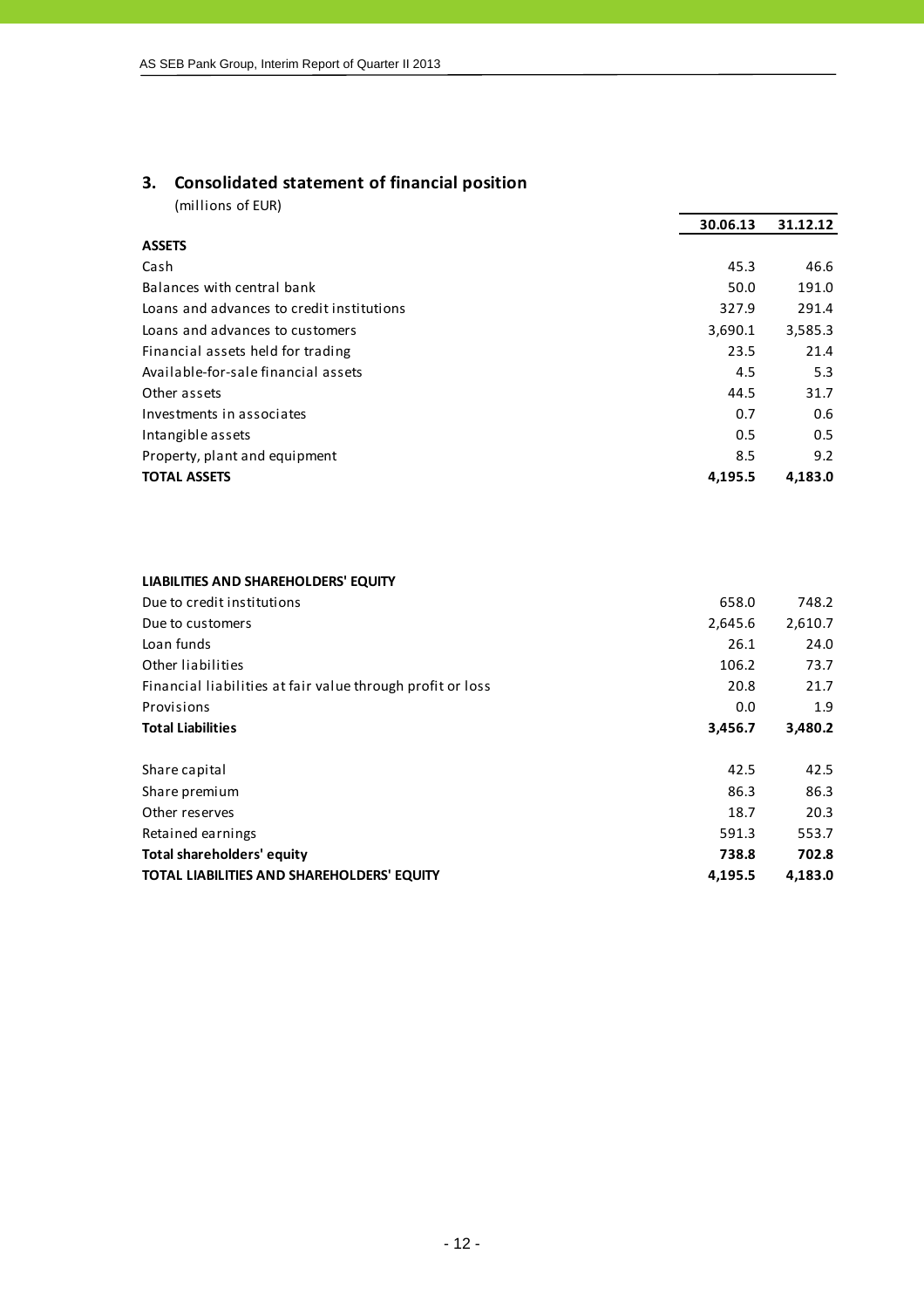## **3. Consolidated statement of financial position**

(millions of EUR)

|                                           | 30.06.13 | 31.12.12 |
|-------------------------------------------|----------|----------|
| <b>ASSETS</b>                             |          |          |
| Cash                                      | 45.3     | 46.6     |
| Balances with central bank                | 50.0     | 191.0    |
| Loans and advances to credit institutions | 327.9    | 291.4    |
| Loans and advances to customers           | 3,690.1  | 3,585.3  |
| Financial assets held for trading         | 23.5     | 21.4     |
| Available-for-sale financial assets       | 4.5      | 5.3      |
| Other assets                              | 44.5     | 31.7     |
| Investments in associates                 | 0.7      | 0.6      |
| Intangible assets                         | 0.5      | 0.5      |
| Property, plant and equipment             | 8.5      | 9.2      |
| <b>TOTAL ASSETS</b>                       | 4,195.5  | 4,183.0  |

#### **LIABILITIES AND SHAREHOLDERS' EQUITY**

| Due to credit institutions                                 | 658.0   | 748.2   |
|------------------------------------------------------------|---------|---------|
| Due to customers                                           | 2,645.6 | 2,610.7 |
| Loan funds                                                 | 26.1    | 24.0    |
| Other liabilities                                          | 106.2   | 73.7    |
| Financial liabilities at fair value through profit or loss | 20.8    | 21.7    |
| Provisions                                                 | 0.0     | 1.9     |
| <b>Total Liabilities</b>                                   | 3,456.7 | 3,480.2 |
| Share capital                                              | 42.5    | 42.5    |
| Share premium                                              | 86.3    | 86.3    |
| Other reserves                                             | 18.7    | 20.3    |
| Retained earnings                                          | 591.3   | 553.7   |
| Total shareholders' equity                                 | 738.8   | 702.8   |
| TOTAL LIABILITIES AND SHAREHOLDERS' EQUITY                 | 4,195.5 | 4,183.0 |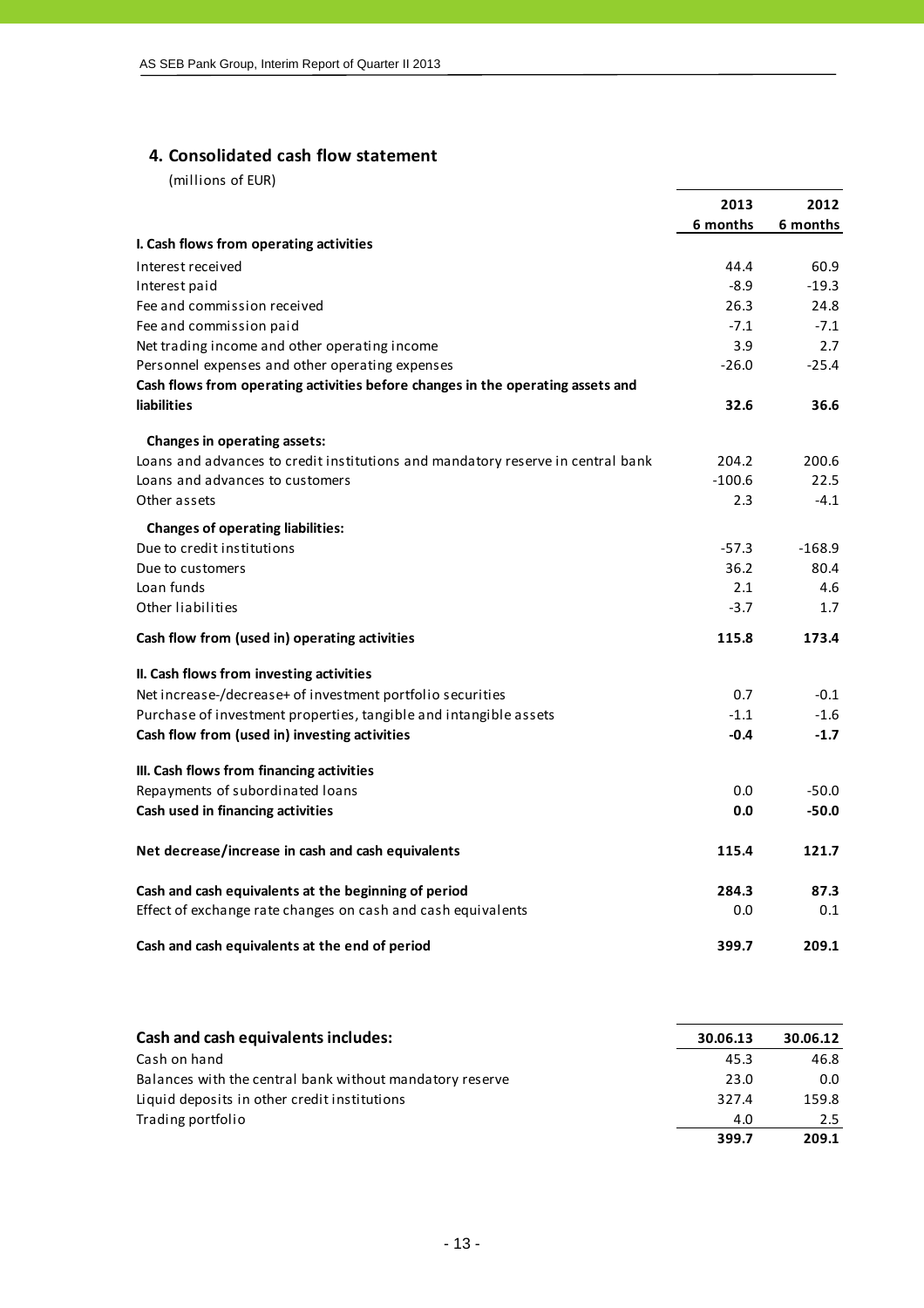## **4. Consolidated cash flow statement**

|                                                                                 | 2013     | 2012     |
|---------------------------------------------------------------------------------|----------|----------|
|                                                                                 | 6 months | 6 months |
| I. Cash flows from operating activities                                         |          |          |
| Interest received                                                               | 44.4     | 60.9     |
| Interest paid                                                                   | $-8.9$   | $-19.3$  |
| Fee and commission received                                                     | 26.3     | 24.8     |
| Fee and commission paid                                                         | $-7.1$   | $-7.1$   |
| Net trading income and other operating income                                   | 3.9      | 2.7      |
| Personnel expenses and other operating expenses                                 | $-26.0$  | $-25.4$  |
| Cash flows from operating activities before changes in the operating assets and |          |          |
| <b>liabilities</b>                                                              | 32.6     | 36.6     |
| Changes in operating assets:                                                    |          |          |
| Loans and advances to credit institutions and mandatory reserve in central bank | 204.2    | 200.6    |
| Loans and advances to customers                                                 | $-100.6$ | 22.5     |
| Other assets                                                                    | 2.3      | $-4.1$   |
| <b>Changes of operating liabilities:</b>                                        |          |          |
| Due to credit institutions                                                      | $-57.3$  | $-168.9$ |
| Due to customers                                                                | 36.2     | 80.4     |
| Loan funds                                                                      | 2.1      | 4.6      |
| Other liabilities                                                               | $-3.7$   | 1.7      |
| Cash flow from (used in) operating activities                                   | 115.8    | 173.4    |
| II. Cash flows from investing activities                                        |          |          |
| Net increase-/decrease+ of investment portfolio securities                      | 0.7      | $-0.1$   |
| Purchase of investment properties, tangible and intangible assets               | $-1.1$   | $-1.6$   |
| Cash flow from (used in) investing activities                                   | $-0.4$   | $-1.7$   |
| III. Cash flows from financing activities                                       |          |          |
| Repayments of subordinated loans                                                | 0.0      | $-50.0$  |
| Cash used in financing activities                                               | 0.0      | $-50.0$  |
| Net decrease/increase in cash and cash equivalents                              | 115.4    | 121.7    |
| Cash and cash equivalents at the beginning of period                            | 284.3    | 87.3     |
| Effect of exchange rate changes on cash and cash equivalents                    | 0.0      | 0.1      |
| Cash and cash equivalents at the end of period                                  | 399.7    | 209.1    |

| Cash and cash equivalents includes:                      | 30.06.13 | 30.06.12 |
|----------------------------------------------------------|----------|----------|
| Cash on hand                                             | 45.3     | 46.8     |
| Balances with the central bank without mandatory reserve | 23.0     | 0.0      |
| Liquid deposits in other credit institutions             | 327.4    | 159.8    |
| Trading portfolio                                        | 4.0      | 2.5      |
|                                                          | 399.7    | 209.1    |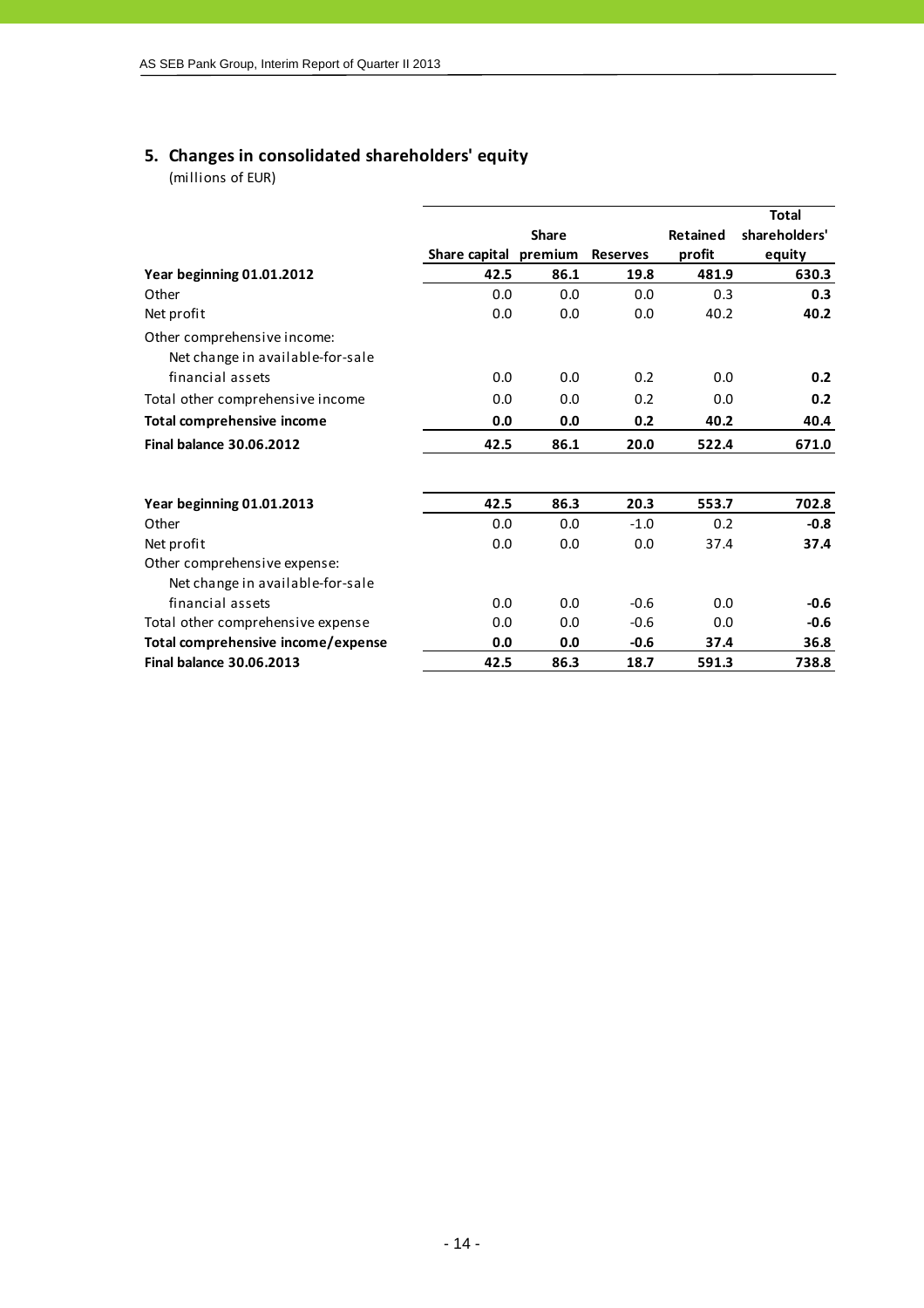## **5. Changes in consolidated shareholders' equity**

|                                                                 |                       |              |                 |                 | <b>Total</b>  |
|-----------------------------------------------------------------|-----------------------|--------------|-----------------|-----------------|---------------|
|                                                                 |                       | <b>Share</b> |                 | <b>Retained</b> | shareholders' |
|                                                                 | Share capital premium |              | <b>Reserves</b> | profit          | equity        |
| Year beginning 01.01.2012                                       | 42.5                  | 86.1         | 19.8            | 481.9           | 630.3         |
| Other                                                           | 0.0                   | 0.0          | 0.0             | 0.3             | 0.3           |
| Net profit                                                      | 0.0                   | 0.0          | 0.0             | 40.2            | 40.2          |
| Other comprehensive income:<br>Net change in available-for-sale |                       |              |                 |                 |               |
| financial assets                                                | 0.0                   | 0.0          | 0.2             | 0.0             | 0.2           |
| Total other comprehensive income                                | 0.0                   | 0.0          | 0.2             | 0.0             | 0.2           |
| <b>Total comprehensive income</b>                               | 0.0                   | 0.0          | 0.2             | 40.2            | 40.4          |
| <b>Final balance 30.06.2012</b>                                 | 42.5                  | 86.1         | 20.0            | 522.4           | 671.0         |
|                                                                 |                       |              |                 |                 |               |
| Year beginning 01.01.2013                                       | 42.5                  | 86.3         | 20.3            | 553.7           | 702.8         |
| Other                                                           | 0.0                   | 0.0          | $-1.0$          | 0.2             | $-0.8$        |
| Net profit                                                      | 0.0                   | 0.0          | 0.0             | 37.4            | 37.4          |
| Other comprehensive expense:                                    |                       |              |                 |                 |               |
| Net change in available-for-sale                                |                       |              |                 |                 |               |
| financial assets                                                | 0.0                   | 0.0          | $-0.6$          | 0.0             | $-0.6$        |
| Total other comprehensive expense                               | 0.0                   | 0.0          | $-0.6$          | 0.0             | $-0.6$        |
| Total comprehensive income/expense                              | 0.0                   | 0.0          | $-0.6$          | 37.4            | 36.8          |
| <b>Final balance 30.06.2013</b>                                 | 42.5                  | 86.3         | 18.7            | 591.3           | 738.8         |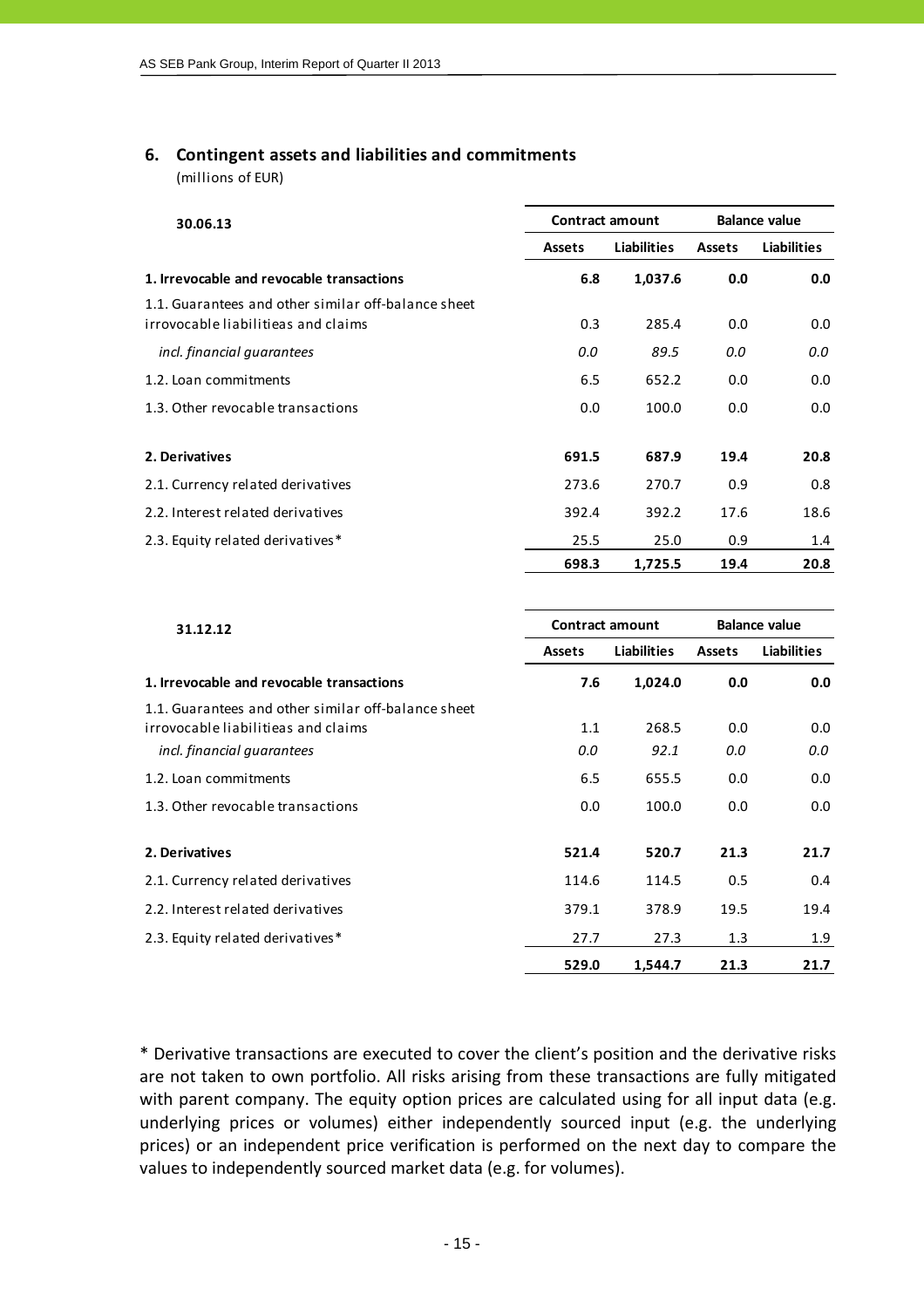## **6. Contingent assets and liabilities and commitments**

(millions of EUR)

| 30.06.13                                                                                   |                              | <b>Contract amount</b> | <b>Balance value</b> |                    |  |
|--------------------------------------------------------------------------------------------|------------------------------|------------------------|----------------------|--------------------|--|
|                                                                                            | <b>Liabilities</b><br>Assets |                        | <b>Assets</b>        | <b>Liabilities</b> |  |
| 1. Irrevocable and revocable transactions                                                  | 6.8                          | 1,037.6                | 0.0                  | 0.0                |  |
| 1.1. Guarantees and other similar off-balance sheet<br>irrovocable liabilitieas and claims | 0.3                          | 285.4                  | 0.0                  | 0.0                |  |
| incl. financial quarantees                                                                 | 0.0                          | 89.5                   | 0.0                  | 0.0                |  |
| 1.2. Loan commitments                                                                      | 6.5                          | 652.2                  | 0.0                  | 0.0                |  |
| 1.3. Other revocable transactions                                                          | 0.0                          | 100.0                  | 0.0                  | 0.0                |  |
| 2. Derivatives                                                                             | 691.5                        | 687.9                  | 19.4                 | 20.8               |  |
| 2.1. Currency related derivatives                                                          | 273.6                        | 270.7                  | 0.9                  | 0.8                |  |
| 2.2. Interest related derivatives                                                          | 392.4                        | 392.2                  | 17.6                 | 18.6               |  |
| 2.3. Equity related derivatives*                                                           | 25.5                         | 25.0                   | 0.9                  | 1.4                |  |
|                                                                                            | 698.3                        | 1,725.5                | 19.4                 | 20.8               |  |

| 31.12.12                                                                                   |               | <b>Contract amount</b> | <b>Balance value</b> |                    |  |
|--------------------------------------------------------------------------------------------|---------------|------------------------|----------------------|--------------------|--|
|                                                                                            | <b>Assets</b> | Liabilities            | Assets               | <b>Liabilities</b> |  |
| 1. Irrevocable and revocable transactions                                                  | 7.6           | 1,024.0                | 0.0                  | 0.0                |  |
| 1.1. Guarantees and other similar off-balance sheet<br>irrovocable liabilitieas and claims | 1.1           | 268.5                  | 0.0                  | 0.0                |  |
| incl. financial quarantees                                                                 | 0.0           | 92.1                   | 0.0                  | 0.0                |  |
| 1.2. Loan commitments                                                                      | 6.5           | 655.5                  | 0.0                  | 0.0                |  |
| 1.3. Other revocable transactions                                                          | 0.0           | 100.0                  | 0.0                  | 0.0                |  |
| 2. Derivatives                                                                             | 521.4         | 520.7                  | 21.3                 | 21.7               |  |
| 2.1. Currency related derivatives                                                          | 114.6         | 114.5                  | 0.5                  | 0.4                |  |
| 2.2. Interest related derivatives                                                          | 379.1         | 378.9                  | 19.5                 | 19.4               |  |
| 2.3. Equity related derivatives*                                                           | 27.7          | 27.3                   | 1.3                  | 1.9                |  |
|                                                                                            | 529.0         | 1,544.7                | 21.3                 | 21.7               |  |

\* Derivative transactions are executed to cover the client's position and the derivative risks are not taken to own portfolio. All risks arising from these transactions are fully mitigated with parent company. The equity option prices are calculated using for all input data (e.g. underlying prices or volumes) either independently sourced input (e.g. the underlying prices) or an independent price verification is performed on the next day to compare the values to independently sourced market data (e.g. for volumes).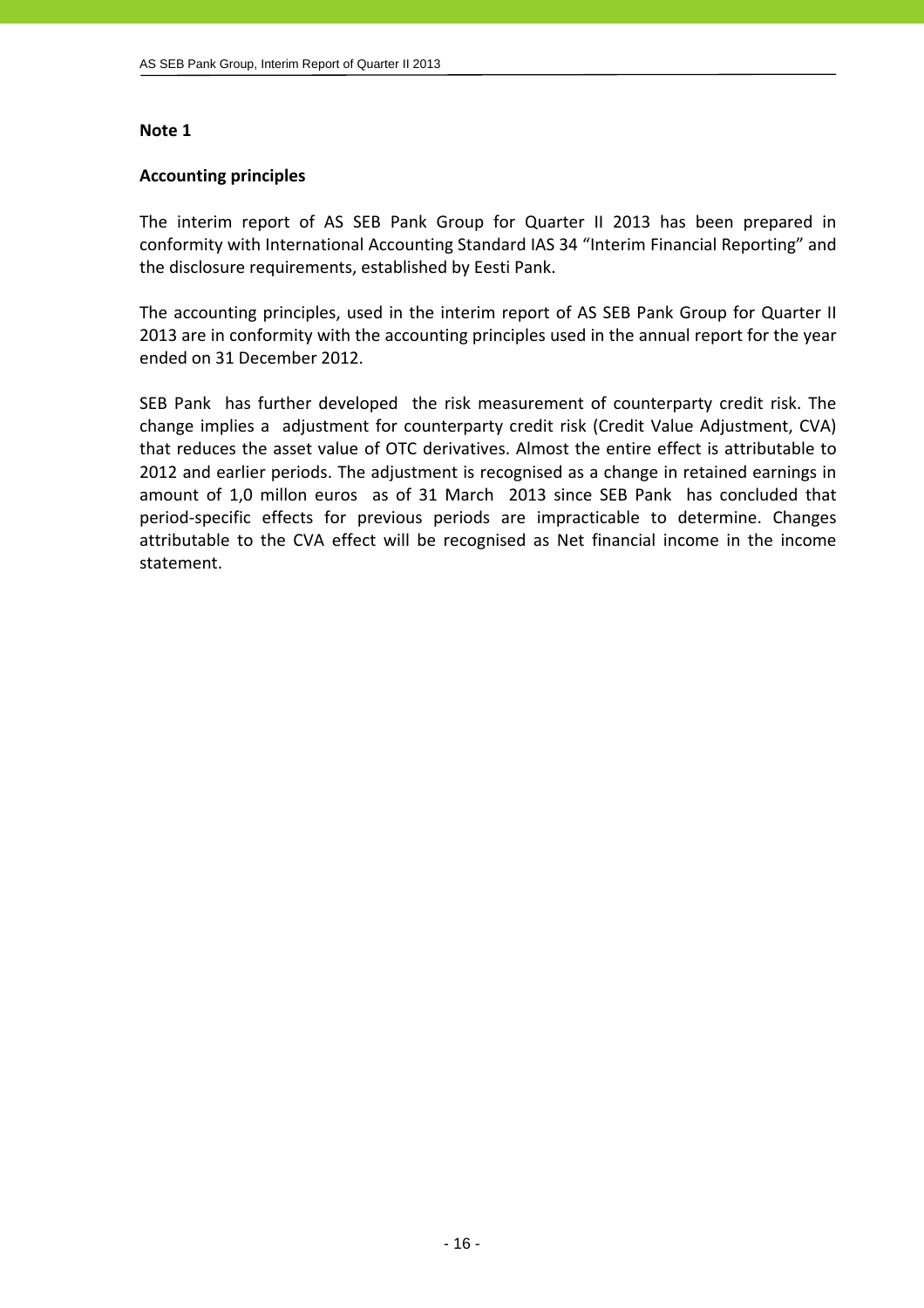## **Accounting principles**

The interim report of AS SEB Pank Group for Quarter II 2013 has been prepared in conformity with International Accounting Standard IAS 34 "Interim Financial Reporting" and the disclosure requirements, established by Eesti Pank.

The accounting principles, used in the interim report of AS SEB Pank Group for Quarter II 2013 are in conformity with the accounting principles used in the annual report for the year ended on 31 December 2012.

SEB Pank has further developed the risk measurement of counterparty credit risk. The change implies a adjustment for counterparty credit risk (Credit Value Adjustment, CVA) that reduces the asset value of OTC derivatives. Almost the entire effect is attributable to 2012 and earlier periods. The adjustment is recognised as a change in retained earnings in amount of 1,0 millon euros as of 31 March 2013 since SEB Pank has concluded that period‐specific effects for previous periods are impracticable to determine. Changes attributable to the CVA effect will be recognised as Net financial income in the income statement.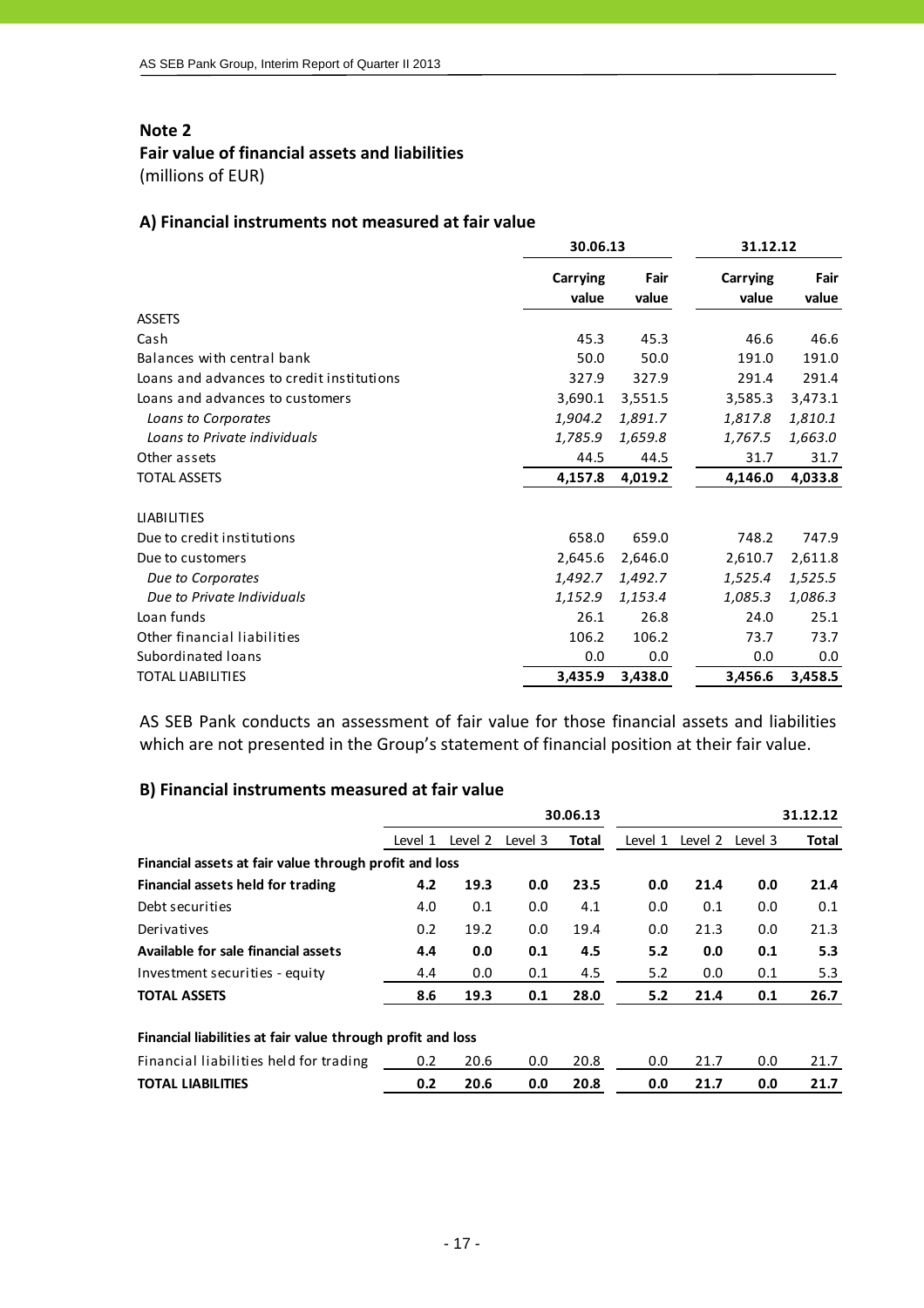## **Fair value of financial assets and liabilities**

(millions of EUR)

## **A) Financial instruments not measured at fair value**

|                                           | 30.06.13                 |               | 31.12.12          |               |  |
|-------------------------------------------|--------------------------|---------------|-------------------|---------------|--|
|                                           | <b>Carrying</b><br>value | Fair<br>value | Carrying<br>value | Fair<br>value |  |
| <b>ASSETS</b>                             |                          |               |                   |               |  |
| Cash                                      | 45.3                     | 45.3          | 46.6              | 46.6          |  |
| Balances with central bank                | 50.0                     | 50.0          | 191.0             | 191.0         |  |
| Loans and advances to credit institutions | 327.9                    | 327.9         | 291.4             | 291.4         |  |
| Loans and advances to customers           | 3,690.1                  | 3,551.5       | 3,585.3           | 3,473.1       |  |
| Loans to Corporates                       | 1,904.2                  | 1,891.7       | 1,817.8           | 1,810.1       |  |
| Loans to Private individuals              | 1,785.9                  | 1,659.8       | 1,767.5           | 1,663.0       |  |
| Other assets                              | 44.5                     | 44.5          | 31.7              | 31.7          |  |
| <b>TOTAL ASSETS</b>                       | 4,157.8                  | 4,019.2       | 4,146.0           | 4,033.8       |  |
|                                           |                          |               |                   |               |  |
| <b>LIABILITIES</b>                        |                          |               |                   |               |  |
| Due to credit institutions                | 658.0                    | 659.0         | 748.2             | 747.9         |  |
| Due to customers                          | 2,645.6                  | 2,646.0       | 2,610.7           | 2,611.8       |  |
| Due to Corporates                         | 1,492.7                  | 1,492.7       | 1,525.4           | 1,525.5       |  |
| Due to Private Individuals                | 1,152.9                  | 1,153.4       | 1,085.3           | 1,086.3       |  |
| Loan funds                                | 26.1                     | 26.8          | 24.0              | 25.1          |  |
| Other financial liabilities               | 106.2                    | 106.2         | 73.7              | 73.7          |  |
| Subordinated loans                        | 0.0                      | 0.0           | 0.0               | 0.0           |  |
| <b>TOTAL LIABILITIES</b>                  | 3,435.9                  | 3,438.0       | 3,456.6           | 3,458.5       |  |

AS SEB Pank conducts an assessment of fair value for those financial assets and liabilities which are not presented in the Group's statement of financial position at their fair value.

## **B) Financial instruments measured at fair value**

|                                                             |         |         |         | 30.06.13     |         |         |         | 31.12.12 |
|-------------------------------------------------------------|---------|---------|---------|--------------|---------|---------|---------|----------|
|                                                             | Level 1 | Level 2 | Level 3 | <b>Total</b> | Level 1 | Level 2 | Level 3 | Total    |
| Financial assets at fair value through profit and loss      |         |         |         |              |         |         |         |          |
| Financial assets held for trading                           | 4.2     | 19.3    | 0.0     | 23.5         | 0.0     | 21.4    | 0.0     | 21.4     |
| Debt securities                                             | 4.0     | 0.1     | 0.0     | 4.1          | 0.0     | 0.1     | 0.0     | 0.1      |
| Derivatives                                                 | 0.2     | 19.2    | 0.0     | 19.4         | 0.0     | 21.3    | 0.0     | 21.3     |
| Available for sale financial assets                         | 4.4     | 0.0     | 0.1     | 4.5          | 5.2     | 0.0     | 0.1     | 5.3      |
| Investment securities - equity                              | 4.4     | 0.0     | 0.1     | 4.5          | 5.2     | 0.0     | 0.1     | 5.3      |
| <b>TOTAL ASSETS</b>                                         | 8.6     | 19.3    | 0.1     | 28.0         | 5.2     | 21.4    | 0.1     | 26.7     |
| Financial liabilities at fair value through profit and loss |         |         |         |              |         |         |         |          |
| Financial liabilities held for trading                      | 0.2     | 20.6    | 0.0     | 20.8         | 0.0     | 21.7    | 0.0     | 21.7     |
| <b>TOTAL LIABILITIES</b>                                    | 0.2     | 20.6    | 0.0     | 20.8         | 0.0     | 21.7    | 0.0     | 21.7     |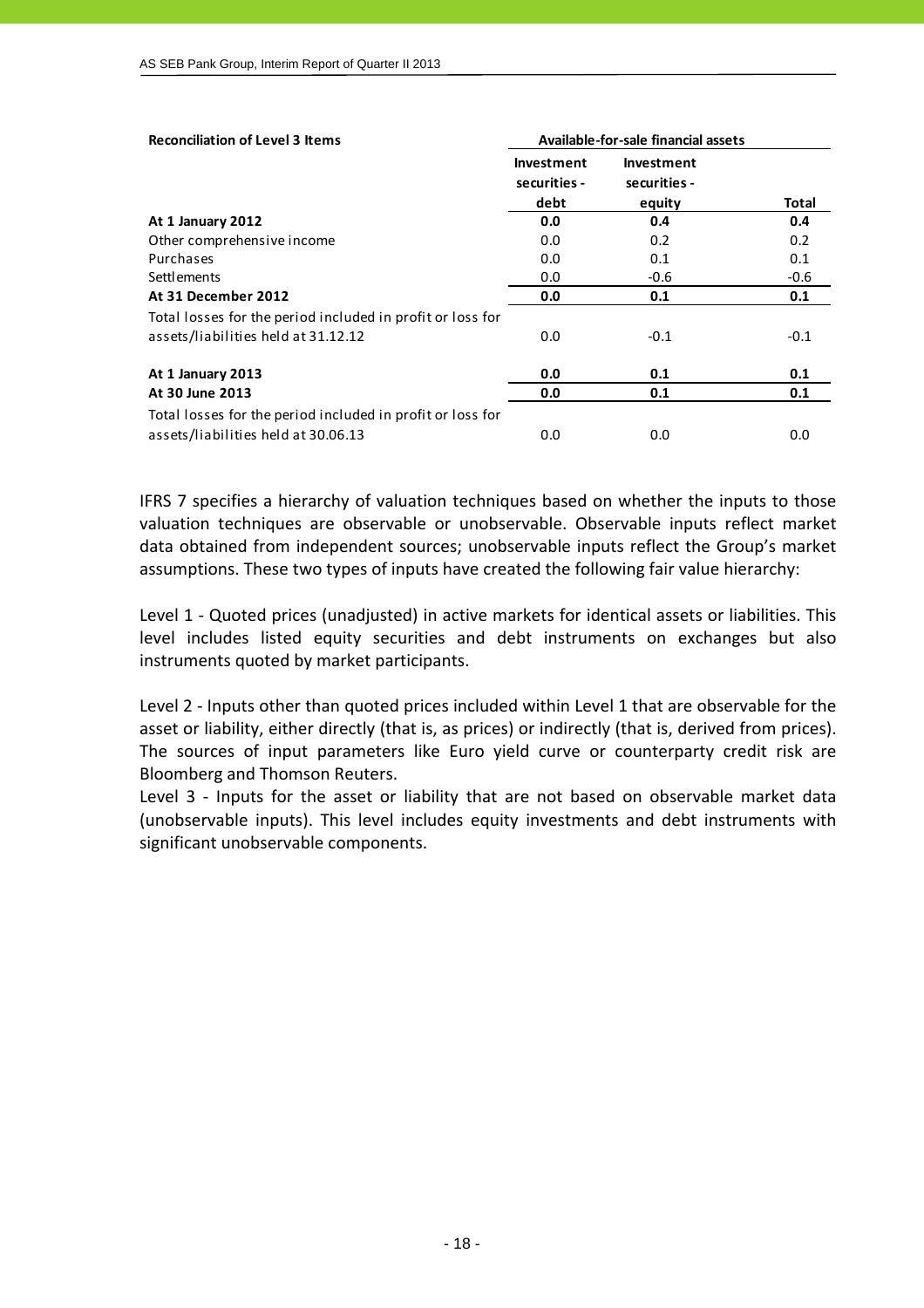| <b>Reconciliation of Level 3 Items</b>                     | Available-for-sale financial assets |                            |        |  |
|------------------------------------------------------------|-------------------------------------|----------------------------|--------|--|
|                                                            | Investment<br>securities -          | Investment<br>securities - |        |  |
|                                                            | debt                                | equity                     | Total  |  |
| At 1 January 2012                                          | 0.0                                 | 0.4                        | 0.4    |  |
| Other comprehensive income                                 | 0.0                                 | 0.2                        | 0.2    |  |
| Purchases                                                  | 0.0                                 | 0.1                        | 0.1    |  |
| <b>Settlements</b>                                         | 0.0                                 | $-0.6$                     | $-0.6$ |  |
| At 31 December 2012                                        | 0.0                                 | 0.1                        | 0.1    |  |
| Total losses for the period included in profit or loss for |                                     |                            |        |  |
| assets/liabilities held at 31.12.12                        | 0.0                                 | $-0.1$                     | $-0.1$ |  |
| At 1 January 2013                                          | 0.0                                 | 0.1                        | 0.1    |  |
| At 30 June 2013                                            | 0.0                                 | 0.1                        | 0.1    |  |
| Total losses for the period included in profit or loss for |                                     |                            |        |  |
| assets/liabilities held at 30.06.13                        | 0.0                                 | 0.0                        | 0.0    |  |

IFRS 7 specifies a hierarchy of valuation techniques based on whether the inputs to those valuation techniques are observable or unobservable. Observable inputs reflect market data obtained from independent sources; unobservable inputs reflect the Group's market assumptions. These two types of inputs have created the following fair value hierarchy:

Level 1 ‐ Quoted prices (unadjusted) in active markets for identical assets or liabilities. This level includes listed equity securities and debt instruments on exchanges but also instruments quoted by market participants.

Level 2 - Inputs other than quoted prices included within Level 1 that are observable for the asset or liability, either directly (that is, as prices) or indirectly (that is, derived from prices). The sources of input parameters like Euro yield curve or counterparty credit risk are Bloomberg and Thomson Reuters.

Level 3 - Inputs for the asset or liability that are not based on observable market data (unobservable inputs). This level includes equity investments and debt instruments with significant unobservable components.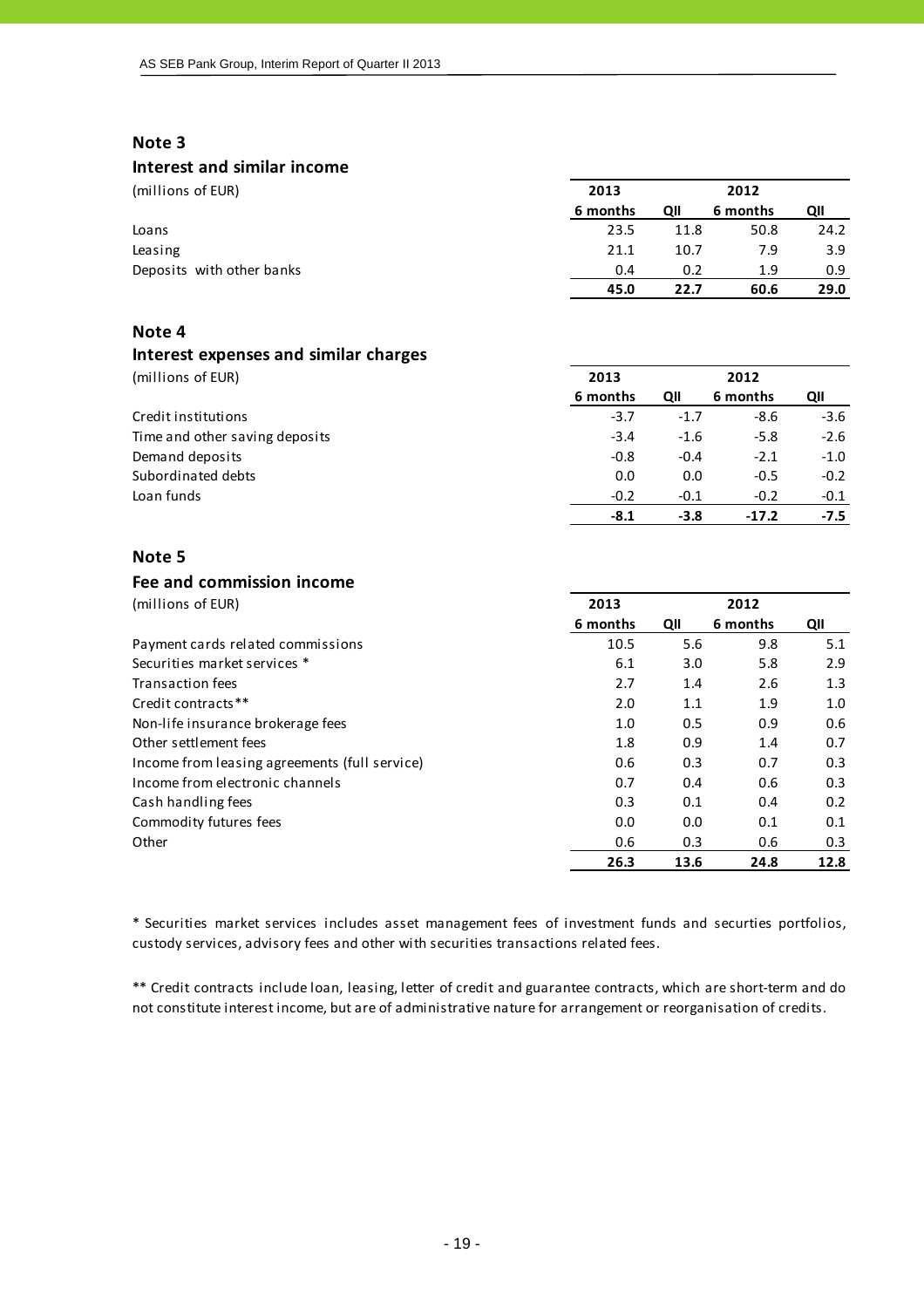## **Interest and similar income**

| (millions of EUR)         | 2013     |      | 2012     |               |
|---------------------------|----------|------|----------|---------------|
|                           | 6 months | QII  | 6 months | QII           |
| Loans                     | 23.5     | 11.8 | 50.8     | 24.2          |
| Leasing                   | 21.1     | 10.7 | 7.9      | 3.9           |
| Deposits with other banks | 0.4      | 0.2  | 1.9      | $0.9^{\circ}$ |
|                           | 45.0     | 22.7 | 60.6     | 29.0          |

## **Note 4**

## **Interest expenses and similar charges**

(millions of EUR) **2013 2012**

|                                | 6 months | QII    | 6 months | QII    |
|--------------------------------|----------|--------|----------|--------|
| Credit institutions            | $-3.7$   | $-1.7$ | $-8.6$   | $-3.6$ |
| Time and other saving deposits | $-3.4$   | $-1.6$ | $-5.8$   | $-2.6$ |
| Demand deposits                | $-0.8$   | $-0.4$ | $-2.1$   | $-1.0$ |
| Subordinated debts             | 0.0      | 0.0    | $-0.5$   | $-0.2$ |
| Loan funds                     | $-0.2$   | $-0.1$ | $-0.2$   | $-0.1$ |
|                                | -8.1     | $-3.8$ | $-17.2$  | -7.5   |

## **Note 5**

## **Fee and commission income**

| (millions of EUR)                             | 2013<br>2012 |      |          |      |
|-----------------------------------------------|--------------|------|----------|------|
|                                               | 6 months     | QII  | 6 months | QII  |
| Payment cards related commissions             | 10.5         | 5.6  | 9.8      | 5.1  |
| Securities market services *                  | 6.1          | 3.0  | 5.8      | 2.9  |
| Transaction fees                              | 2.7          | 1.4  | 2.6      | 1.3  |
| Credit contracts**                            | 2.0          | 1.1  | 1.9      | 1.0  |
| Non-life insurance brokerage fees             | 1.0          | 0.5  | 0.9      | 0.6  |
| Other settlement fees                         | 1.8          | 0.9  | 1.4      | 0.7  |
| Income from leasing agreements (full service) | 0.6          | 0.3  | 0.7      | 0.3  |
| Income from electronic channels               | 0.7          | 0.4  | 0.6      | 0.3  |
| Cash handling fees                            | 0.3          | 0.1  | 0.4      | 0.2  |
| Commodity futures fees                        | 0.0          | 0.0  | 0.1      | 0.1  |
| Other                                         | 0.6          | 0.3  | 0.6      | 0.3  |
|                                               | 26.3         | 13.6 | 24.8     | 12.8 |

\* Securities market services includes asset management fees of investment funds and securties portfolios, custody services, advisory fees and other with securities transactions related fees.

\*\* Credit contracts include loan, leasing, letter of credit and guarantee contracts, which are short‐term and do not constitute interest income, but are of administrative nature for arrangement or reorganisation of credits.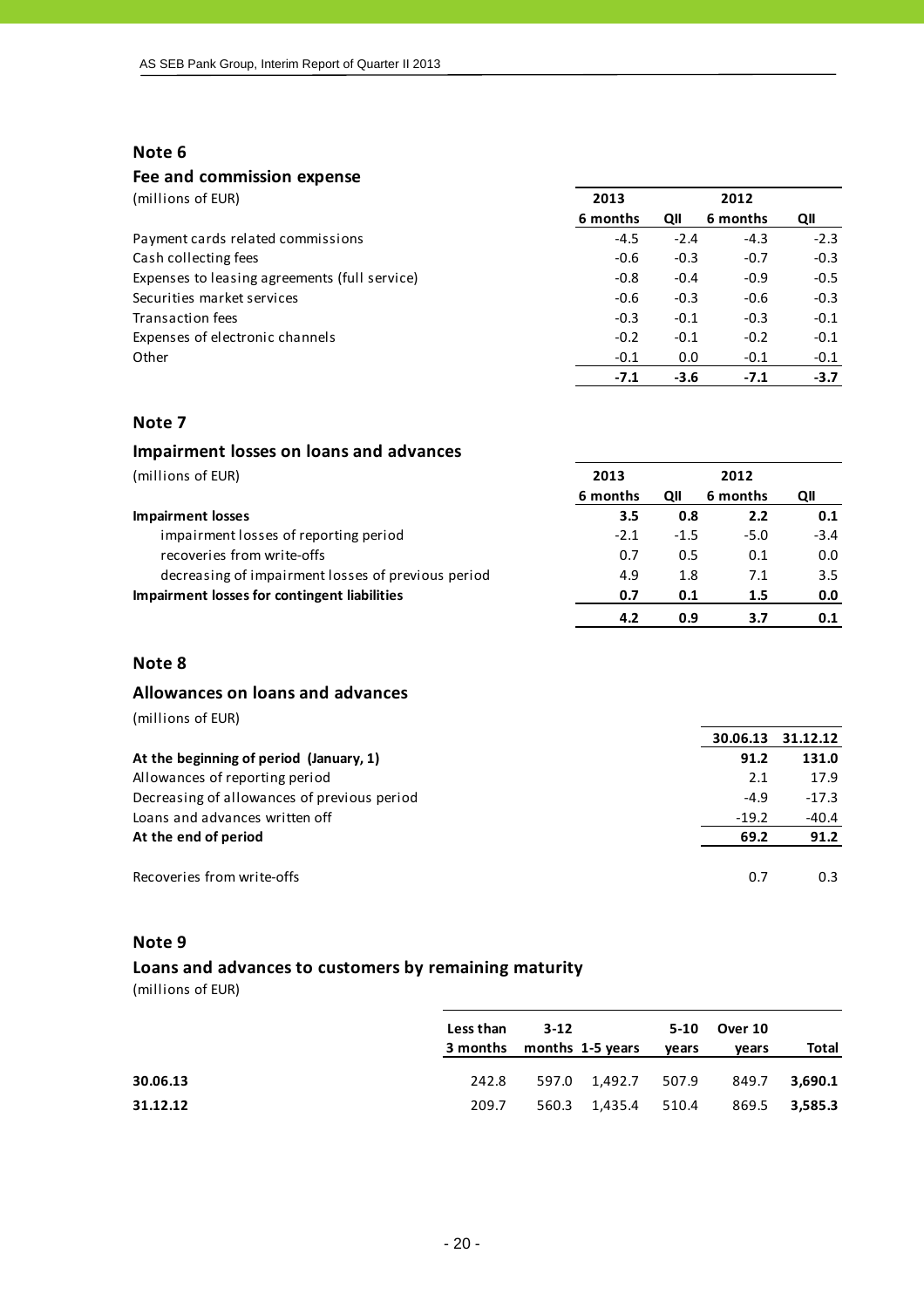#### **Fee and commission expense**

| 2013     |        | 2012     |        |
|----------|--------|----------|--------|
| 6 months | QII    | 6 months | QII    |
| $-4.5$   | $-2.4$ | $-4.3$   | $-2.3$ |
| $-0.6$   | $-0.3$ | $-0.7$   | $-0.3$ |
| $-0.8$   | $-0.4$ | $-0.9$   | $-0.5$ |
| $-0.6$   | $-0.3$ | $-0.6$   | $-0.3$ |
| $-0.3$   | $-0.1$ | $-0.3$   | $-0.1$ |
| $-0.2$   | $-0.1$ | $-0.2$   | $-0.1$ |
| $-0.1$   | 0.0    | $-0.1$   | $-0.1$ |
| $-7.1$   | $-3.6$ | $-7.1$   | $-3.7$ |
|          |        |          |        |

#### **Note 7**

| Impairment losses on loans and advances            |          |        |          |        |
|----------------------------------------------------|----------|--------|----------|--------|
| (millions of EUR)                                  | 2013     |        | 2012     |        |
|                                                    | 6 months | QII    | 6 months | QII    |
| <b>Impairment losses</b>                           | 3.5      | 0.8    | 2.2      | 0.1    |
| impairment losses of reporting period              | $-2.1$   | $-1.5$ | $-5.0$   | $-3.4$ |
| recoveries from write-offs                         | 0.7      | 0.5    | 0.1      | 0.0    |
| decreasing of impairment losses of previous period | 4.9      | 1.8    | 7.1      | 3.5    |
| Impairment losses for contingent liabilities       | 0.7      | 0.1    | 1.5      | 0.0    |
|                                                    | 4.2      | 0.9    | 3.7      | 0.1    |

## **Note 8**

#### **Allowances on loans and advances**

(millions of EUR)

|                                             | 30.06.13 | 31.12.12 |
|---------------------------------------------|----------|----------|
| At the beginning of period (January, 1)     | 91.2     | 131.0    |
| Allowances of reporting period              | 2.1      | 17.9     |
| Decreasing of allowances of previous period | $-4.9$   | $-17.3$  |
| Loans and advances written off              | $-19.2$  | $-40.4$  |
| At the end of period                        | 69.2     | 91.2     |
|                                             |          |          |
| Recoveries from write-offs                  | 0.7      | 0.3      |

#### **Note 9**

## **Loans and advances to customers by remaining maturity**

|          | Less than                          | $3 - 12$ |                     | 5-10  | Over 10        |                  |
|----------|------------------------------------|----------|---------------------|-------|----------------|------------------|
| 30.06.13 | 3 months months 1-5 years<br>242.8 |          | 597.0 1,492.7 507.9 | years | vears<br>849.7 | Total<br>3.690.1 |
| 31.12.12 | 209.7                              |          | 560.3 1,435.4 510.4 |       |                | 869.5 3,585.3    |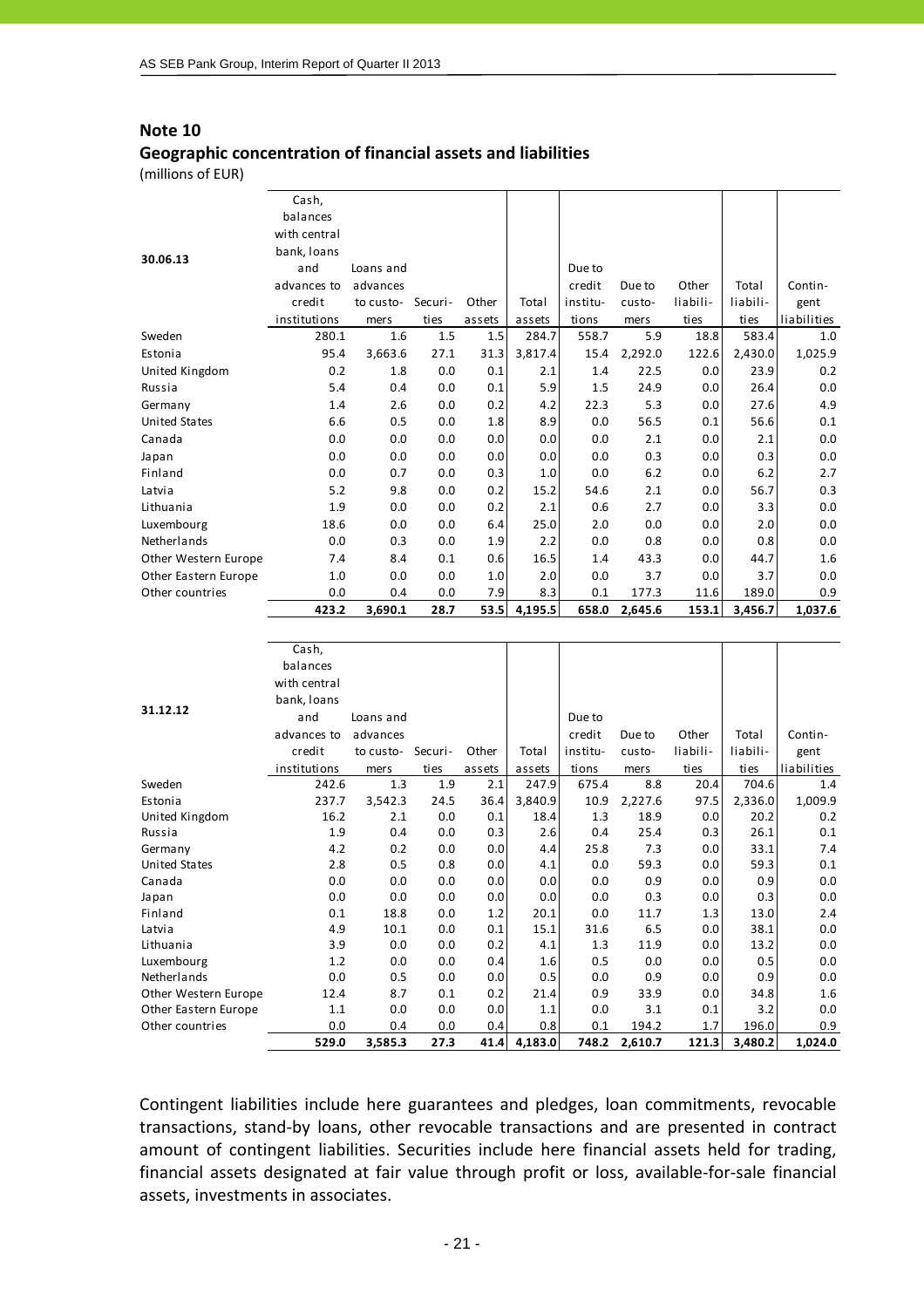## **Note 10 Geographic concentration of financial assets and liabilities**

(millions of EUR)

|                      | Cash,<br>balances |           |         |        |         |          |         |          |          |             |
|----------------------|-------------------|-----------|---------|--------|---------|----------|---------|----------|----------|-------------|
|                      | with central      |           |         |        |         |          |         |          |          |             |
| 30.06.13             | bank, loans       |           |         |        |         |          |         |          |          |             |
|                      | and               | Loans and |         |        |         | Due to   |         |          |          |             |
|                      | advances to       | advances  |         |        |         | credit   | Due to  | Other    | Total    | Contin-     |
|                      | credit            | to custo- | Securi- | Other  | Total   | institu- | custo-  | liabili- | liabili- | gent        |
|                      | institutions      | mers      | ties    | assets | assets  | tions    | mers    | ties     | ties     | liabilities |
| Sweden               | 280.1             | 1.6       | 1.5     | 1.5    | 284.7   | 558.7    | 5.9     | 18.8     | 583.4    | 1.0         |
| Estonia              | 95.4              | 3,663.6   | 27.1    | 31.3   | 3,817.4 | 15.4     | 2,292.0 | 122.6    | 2,430.0  | 1,025.9     |
| United Kingdom       | 0.2               | 1.8       | 0.0     | 0.1    | 2.1     | 1.4      | 22.5    | 0.0      | 23.9     | 0.2         |
| Russia               | 5.4               | 0.4       | 0.0     | 0.1    | 5.9     | 1.5      | 24.9    | 0.0      | 26.4     | 0.0         |
| Germany              | 1.4               | 2.6       | 0.0     | 0.2    | 4.2     | 22.3     | 5.3     | 0.0      | 27.6     | 4.9         |
| <b>United States</b> | 6.6               | 0.5       | 0.0     | 1.8    | 8.9     | 0.0      | 56.5    | 0.1      | 56.6     | 0.1         |
| Canada               | 0.0               | 0.0       | 0.0     | 0.0    | 0.0     | 0.0      | 2.1     | 0.0      | 2.1      | 0.0         |
| Japan                | 0.0               | 0.0       | 0.0     | 0.0    | 0.0     | 0.0      | 0.3     | 0.0      | 0.3      | 0.0         |
| Finland              | 0.0               | 0.7       | 0.0     | 0.3    | 1.0     | 0.0      | 6.2     | 0.0      | 6.2      | 2.7         |
| Latvia               | 5.2               | 9.8       | 0.0     | 0.2    | 15.2    | 54.6     | 2.1     | 0.0      | 56.7     | 0.3         |
| Lithuania            | 1.9               | 0.0       | 0.0     | 0.2    | 2.1     | 0.6      | 2.7     | 0.0      | 3.3      | 0.0         |
| Luxembourg           | 18.6              | 0.0       | 0.0     | 6.4    | 25.0    | 2.0      | 0.0     | 0.0      | 2.0      | 0.0         |
| Netherlands          | 0.0               | 0.3       | 0.0     | 1.9    | 2.2     | 0.0      | 0.8     | 0.0      | 0.8      | 0.0         |
| Other Western Europe | 7.4               | 8.4       | 0.1     | 0.6    | 16.5    | 1.4      | 43.3    | 0.0      | 44.7     | 1.6         |
| Other Eastern Europe | 1.0               | 0.0       | 0.0     | 1.0    | 2.0     | 0.0      | 3.7     | 0.0      | 3.7      | 0.0         |
| Other countries      | 0.0               | 0.4       | 0.0     | 7.9    | 8.3     | 0.1      | 177.3   | 11.6     | 189.0    | 0.9         |
|                      | 423.2             | 3,690.1   | 28.7    | 53.5   | 4,195.5 | 658.0    | 2,645.6 | 153.1    | 3,456.7  | 1,037.6     |

|                      | Cash,        |           |         |        |         |          |         |          |          |             |
|----------------------|--------------|-----------|---------|--------|---------|----------|---------|----------|----------|-------------|
|                      | balances     |           |         |        |         |          |         |          |          |             |
|                      | with central |           |         |        |         |          |         |          |          |             |
| 31.12.12             | bank, loans  |           |         |        |         |          |         |          |          |             |
|                      | and          | Loans and |         |        |         | Due to   |         |          |          |             |
|                      | advances to  | advances  |         |        |         | credit   | Due to  | Other    | Total    | Contin-     |
|                      | credit       | to custo- | Securi- | Other  | Total   | institu- | custo-  | liabili- | liabili- | gent        |
|                      | institutions | mers      | ties    | assets | assets  | tions    | mers    | ties     | ties     | liabilities |
| Sweden               | 242.6        | 1.3       | 1.9     | 2.1    | 247.9   | 675.4    | 8.8     | 20.4     | 704.6    | 1.4         |
| Estonia              | 237.7        | 3,542.3   | 24.5    | 36.4   | 3,840.9 | 10.9     | 2,227.6 | 97.5     | 2,336.0  | 1,009.9     |
| United Kingdom       | 16.2         | 2.1       | 0.0     | 0.1    | 18.4    | 1.3      | 18.9    | 0.0      | 20.2     | 0.2         |
| Russia               | 1.9          | 0.4       | 0.0     | 0.3    | 2.6     | 0.4      | 25.4    | 0.3      | 26.1     | 0.1         |
| Germany              | 4.2          | 0.2       | 0.0     | 0.0    | 4.4     | 25.8     | 7.3     | 0.0      | 33.1     | 7.4         |
| <b>United States</b> | 2.8          | 0.5       | 0.8     | 0.0    | 4.1     | 0.0      | 59.3    | 0.0      | 59.3     | 0.1         |
| Canada               | 0.0          | 0.0       | 0.0     | 0.0    | 0.0     | 0.0      | 0.9     | 0.0      | 0.9      | 0.0         |
| Japan                | 0.0          | 0.0       | 0.0     | 0.0    | 0.0     | 0.0      | 0.3     | 0.0      | 0.3      | 0.0         |
| Finland              | 0.1          | 18.8      | 0.0     | 1.2    | 20.1    | 0.0      | 11.7    | 1.3      | 13.0     | 2.4         |
| Latvia               | 4.9          | 10.1      | 0.0     | 0.1    | 15.1    | 31.6     | 6.5     | 0.0      | 38.1     | 0.0         |
| Lithuania            | 3.9          | 0.0       | 0.0     | 0.2    | 4.1     | 1.3      | 11.9    | 0.0      | 13.2     | 0.0         |
| Luxembourg           | 1.2          | 0.0       | 0.0     | 0.4    | 1.6     | 0.5      | 0.0     | 0.0      | 0.5      | 0.0         |
| Netherlands          | 0.0          | 0.5       | 0.0     | 0.0    | 0.5     | 0.0      | 0.9     | 0.0      | 0.9      | 0.0         |
| Other Western Europe | 12.4         | 8.7       | 0.1     | 0.2    | 21.4    | 0.9      | 33.9    | 0.0      | 34.8     | 1.6         |
| Other Eastern Europe | 1.1          | 0.0       | 0.0     | 0.0    | 1.1     | 0.0      | 3.1     | 0.1      | 3.2      | 0.0         |
| Other countries      | 0.0          | 0.4       | 0.0     | 0.4    | 0.8     | 0.1      | 194.2   | 1.7      | 196.0    | 0.9         |
|                      | 529.0        | 3,585.3   | 27.3    | 41.4   | 4,183.0 | 748.2    | 2,610.7 | 121.3    | 3,480.2  | 1,024.0     |

Contingent liabilities include here guarantees and pledges, loan commitments, revocable transactions, stand‐by loans, other revocable transactions and are presented in contract amount of contingent liabilities. Securities include here financial assets held for trading, financial assets designated at fair value through profit or loss, available‐for‐sale financial assets, investments in associates.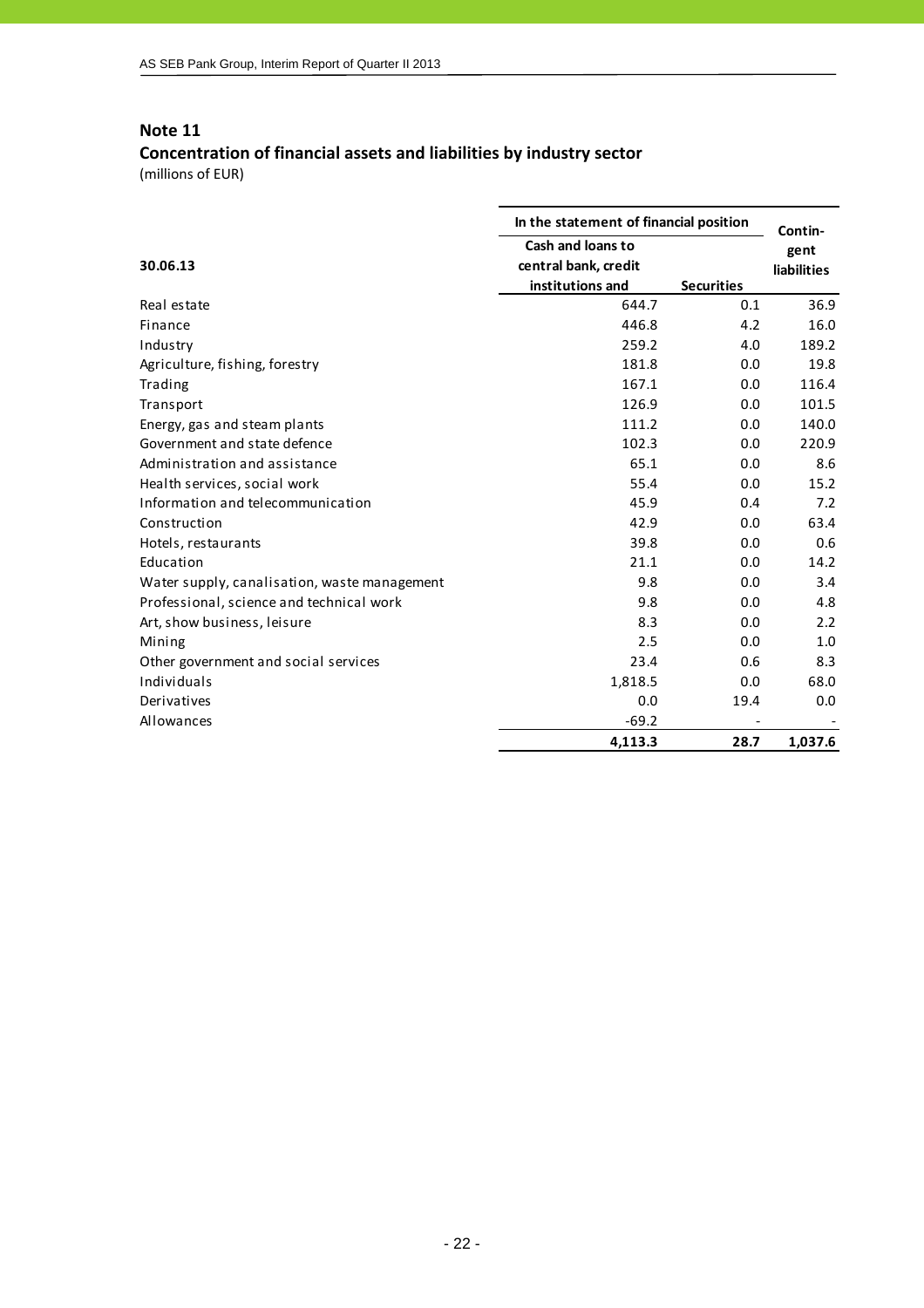# **Concentration of financial assets and liabilities by industry sector**

| In the statement of financial position       |                          |                   |                 |  |
|----------------------------------------------|--------------------------|-------------------|-----------------|--|
|                                              | <b>Cash and loans to</b> |                   | Contin-<br>gent |  |
| 30.06.13                                     | central bank, credit     |                   | liabilities     |  |
|                                              | institutions and         | <b>Securities</b> |                 |  |
| Real estate                                  | 644.7                    | 0.1               | 36.9            |  |
| Finance                                      | 446.8                    | 4.2               | 16.0            |  |
| Industry                                     | 259.2                    | 4.0               | 189.2           |  |
| Agriculture, fishing, forestry               | 181.8                    | 0.0               | 19.8            |  |
| Trading                                      | 167.1                    | 0.0               | 116.4           |  |
| Transport                                    | 126.9                    | 0.0               | 101.5           |  |
| Energy, gas and steam plants                 | 111.2                    | 0.0               | 140.0           |  |
| Government and state defence                 | 102.3                    | 0.0               | 220.9           |  |
| Administration and assistance                | 65.1                     | 0.0               | 8.6             |  |
| Health services, social work                 | 55.4                     | 0.0               | 15.2            |  |
| Information and telecommunication            | 45.9                     | 0.4               | 7.2             |  |
| Construction                                 | 42.9                     | 0.0               | 63.4            |  |
| Hotels, restaurants                          | 39.8                     | 0.0               | 0.6             |  |
| Education                                    | 21.1                     | 0.0               | 14.2            |  |
| Water supply, canalisation, waste management | 9.8                      | 0.0               | 3.4             |  |
| Professional, science and technical work     | 9.8                      | 0.0               | 4.8             |  |
| Art, show business, leisure                  | 8.3                      | 0.0               | 2.2             |  |
| Mining                                       | 2.5                      | 0.0               | 1.0             |  |
| Other government and social services         | 23.4                     | 0.6               | 8.3             |  |
| Individuals                                  | 1,818.5                  | 0.0               | 68.0            |  |
| Derivatives                                  | 0.0                      | 19.4              | 0.0             |  |
| Allowances                                   | $-69.2$                  |                   |                 |  |
|                                              | 4,113.3                  | 28.7              | 1,037.6         |  |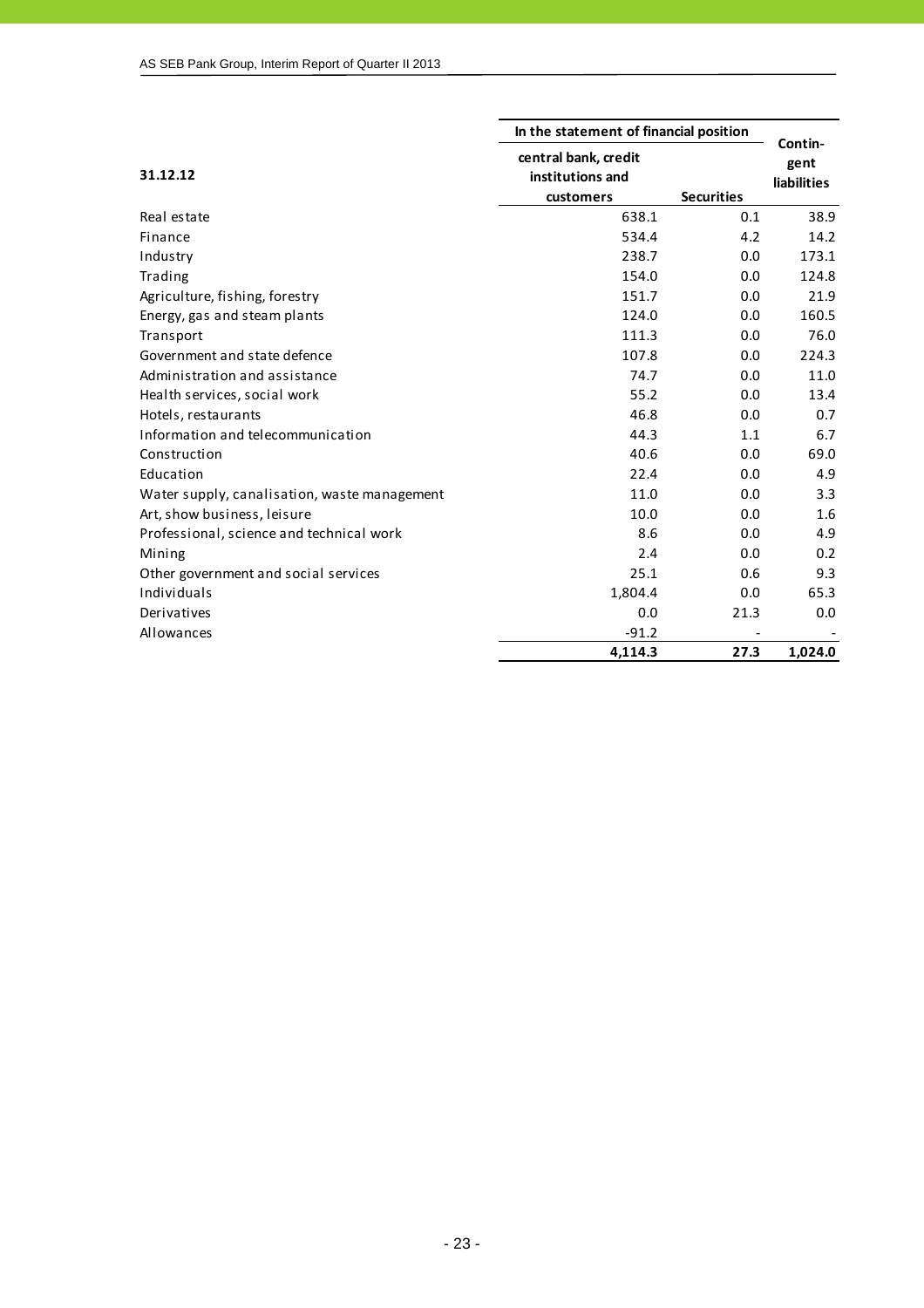|                                              | In the statement of financial position | Contin-           |                    |
|----------------------------------------------|----------------------------------------|-------------------|--------------------|
|                                              | central bank, credit                   |                   | gent               |
| 31.12.12                                     | institutions and                       |                   | <b>liabilities</b> |
|                                              | customers                              | <b>Securities</b> |                    |
| Real estate                                  | 638.1                                  | 0.1               | 38.9               |
| Finance                                      | 534.4                                  | 4.2               | 14.2               |
| Industry                                     | 238.7                                  | 0.0               | 173.1              |
| Trading                                      | 154.0                                  | 0.0               | 124.8              |
| Agriculture, fishing, forestry               | 151.7                                  | 0.0               | 21.9               |
| Energy, gas and steam plants                 | 124.0                                  | 0.0               | 160.5              |
| Transport                                    | 111.3                                  | 0.0               | 76.0               |
| Government and state defence                 | 107.8                                  | 0.0               | 224.3              |
| Administration and assistance                | 74.7                                   | 0.0               | 11.0               |
| Health services, social work                 | 55.2                                   | 0.0               | 13.4               |
| Hotels, restaurants                          | 46.8                                   | 0.0               | 0.7                |
| Information and telecommunication            | 44.3                                   | 1.1               | 6.7                |
| Construction                                 | 40.6                                   | 0.0               | 69.0               |
| Education                                    | 22.4                                   | 0.0               | 4.9                |
| Water supply, canalisation, waste management | 11.0                                   | 0.0               | 3.3                |
| Art, show business, leisure                  | 10.0                                   | 0.0               | 1.6                |
| Professional, science and technical work     | 8.6                                    | 0.0               | 4.9                |
| Mining                                       | 2.4                                    | 0.0               | 0.2                |
| Other government and social services         | 25.1                                   | 0.6               | 9.3                |
| Individuals                                  | 1,804.4                                | 0.0               | 65.3               |
| Derivatives                                  | 0.0                                    | 21.3              | 0.0                |
| Allowances                                   | $-91.2$                                |                   |                    |
|                                              | 4,114.3                                | 27.3              | 1.024.0            |